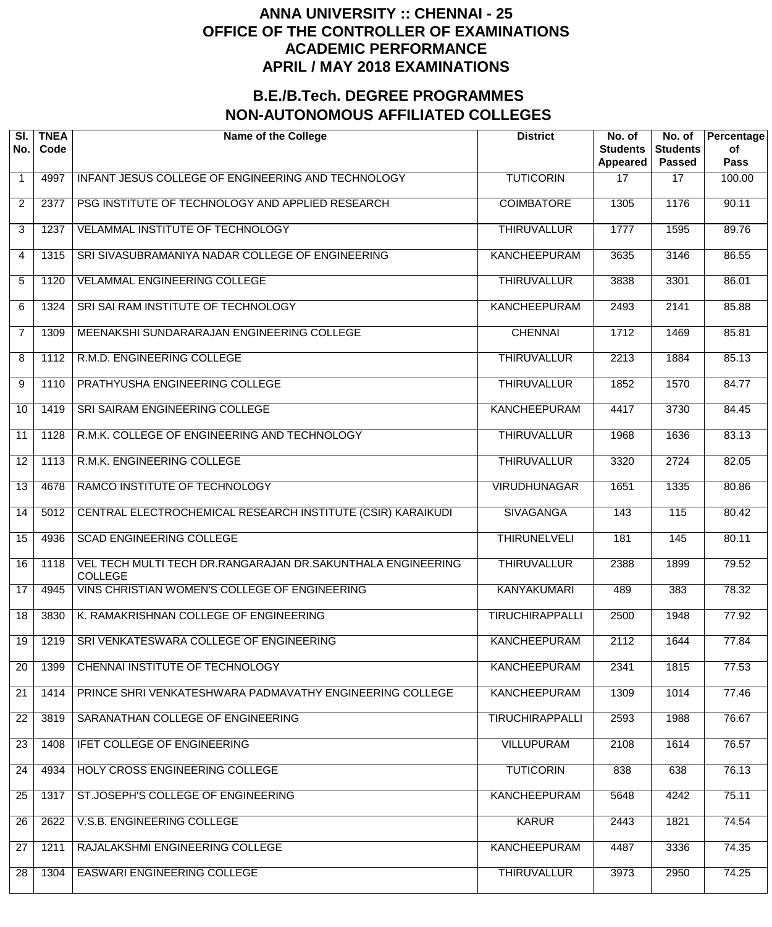| SI.<br>No.      | <b>TNEA</b><br>Code | <b>Name of the College</b>                                                    | <b>District</b>        | No. of<br><b>Students</b><br>Appeared | No. of<br><b>Students</b><br><b>Passed</b> | Percentage<br>of<br><b>Pass</b> |
|-----------------|---------------------|-------------------------------------------------------------------------------|------------------------|---------------------------------------|--------------------------------------------|---------------------------------|
| $\mathbf 1$     | 4997                | INFANT JESUS COLLEGE OF ENGINEERING AND TECHNOLOGY                            | <b>TUTICORIN</b>       | 17                                    | 17                                         | 100.00                          |
| $\overline{2}$  | 2377                | PSG INSTITUTE OF TECHNOLOGY AND APPLIED RESEARCH                              | <b>COIMBATORE</b>      | 1305                                  | 1176                                       | 90.11                           |
| 3               | 1237                | VELAMMAL INSTITUTE OF TECHNOLOGY                                              | <b>THIRUVALLUR</b>     | 1777                                  | 1595                                       | 89.76                           |
| 4               | 1315                | SRI SIVASUBRAMANIYA NADAR COLLEGE OF ENGINEERING                              | <b>KANCHEEPURAM</b>    | 3635                                  | 3146                                       | 86.55                           |
| 5               | $\overline{1}120$   | <b>VELAMMAL ENGINEERING COLLEGE</b>                                           | <b>THIRUVALLUR</b>     | 3838                                  | 3301                                       | 86.01                           |
| 6               | 1324                | SRI SAI RAM INSTITUTE OF TECHNOLOGY                                           | <b>KANCHEEPURAM</b>    | 2493                                  | 2141                                       | 85.88                           |
| $\overline{7}$  | 1309                | MEENAKSHI SUNDARARAJAN ENGINEERING COLLEGE                                    | <b>CHENNAI</b>         | 1712                                  | 1469                                       | 85.81                           |
| 8               | 1112                | <b>R.M.D. ENGINEERING COLLEGE</b>                                             | <b>THIRUVALLUR</b>     | 2213                                  | 1884                                       | 85.13                           |
| 9               | 1110                | PRATHYUSHA ENGINEERING COLLEGE                                                | <b>THIRUVALLUR</b>     | 1852                                  | 1570                                       | 84.77                           |
| 10              | 1419                | SRI SAIRAM ENGINEERING COLLEGE                                                | <b>KANCHEEPURAM</b>    | 4417                                  | 3730                                       | 84.45                           |
| 11              | 1128                | R.M.K. COLLEGE OF ENGINEERING AND TECHNOLOGY                                  | <b>THIRUVALLUR</b>     | 1968                                  | 1636                                       | 83.13                           |
| 12              | 1113                | R.M.K. ENGINEERING COLLEGE                                                    | <b>THIRUVALLUR</b>     | 3320                                  | 2724                                       | 82.05                           |
| 13              | 4678                | RAMCO INSTITUTE OF TECHNOLOGY                                                 | <b>VIRUDHUNAGAR</b>    | 1651                                  | 1335                                       | 80.86                           |
| 14              | 5012                | CENTRAL ELECTROCHEMICAL RESEARCH INSTITUTE (CSIR) KARAIKUDI                   | <b>SIVAGANGA</b>       | 143                                   | 115                                        | 80.42                           |
| 15              | 4936                | <b>SCAD ENGINEERING COLLEGE</b>                                               | <b>THIRUNELVELI</b>    | 181                                   | 145                                        | 80.11                           |
| 16              | 1118                | VEL TECH MULTI TECH DR.RANGARAJAN DR.SAKUNTHALA ENGINEERING<br><b>COLLEGE</b> | <b>THIRUVALLUR</b>     | 2388                                  | 1899                                       | 79.52                           |
| $\overline{17}$ | 4945                | VINS CHRISTIAN WOMEN'S COLLEGE OF ENGINEERING                                 | <b>KANYAKUMARI</b>     | 489                                   | 383                                        | 78.32                           |
| $\overline{18}$ | 3830                | K. RAMAKRISHNAN COLLEGE OF ENGINEERING                                        | <b>TIRUCHIRAPPALLI</b> | 2500                                  | 1948                                       | 77.92                           |
| 19              | 1219                | SRI VENKATESWARA COLLEGE OF ENGINEERING                                       | <b>KANCHEEPURAM</b>    | 2112                                  | 1644                                       | 77.84                           |
| 20              | 1399                | CHENNAI INSTITUTE OF TECHNOLOGY                                               | <b>KANCHEEPURAM</b>    | 2341                                  | 1815                                       | 77.53                           |
| 21              | 1414                | PRINCE SHRI VENKATESHWARA PADMAVATHY ENGINEERING COLLEGE                      | <b>KANCHEEPURAM</b>    | 1309                                  | 1014                                       | 77.46                           |
| 22              | 3819                | SARANATHAN COLLEGE OF ENGINEERING                                             | <b>TIRUCHIRAPPALLI</b> | 2593                                  | 1988                                       | 76.67                           |
| 23              | 1408                | <b>IFET COLLEGE OF ENGINEERING</b>                                            | <b>VILLUPURAM</b>      | 2108                                  | 1614                                       | 76.57                           |
| 24              | 4934                | HOLY CROSS ENGINEERING COLLEGE                                                | <b>TUTICORIN</b>       | 838                                   | 638                                        | 76.13                           |
| 25              | 1317                | ST.JOSEPH'S COLLEGE OF ENGINEERING                                            | <b>KANCHEEPURAM</b>    | 5648                                  | 4242                                       | 75.11                           |
| 26              | 2622                | V.S.B. ENGINEERING COLLEGE                                                    | <b>KARUR</b>           | 2443                                  | 1821                                       | 74.54                           |
| 27              | 1211                | RAJALAKSHMI ENGINEERING COLLEGE                                               | <b>KANCHEEPURAM</b>    | 4487                                  | 3336                                       | 74.35                           |
| 28              | 1304                | EASWARI ENGINEERING COLLEGE                                                   | <b>THIRUVALLUR</b>     | 3973                                  | 2950                                       | 74.25                           |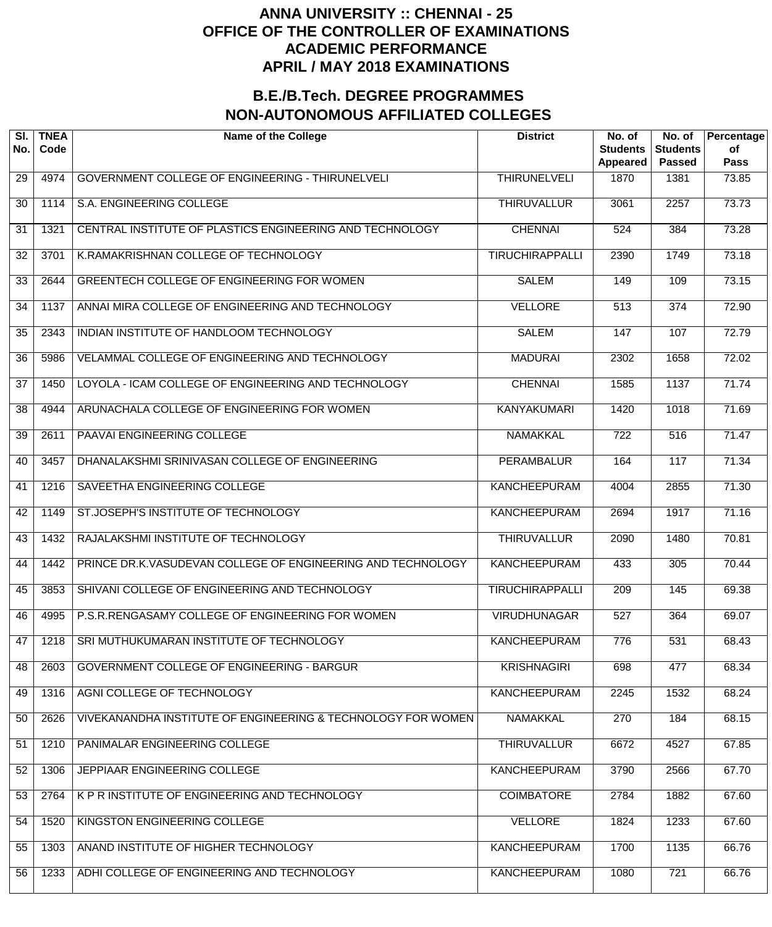| SI.<br>No. | <b>TNEA</b><br>Code | <b>Name of the College</b>                                   | <b>District</b>        | No. of<br><b>Students</b><br>Appeared | No. of<br><b>Students</b><br><b>Passed</b> | Percentage<br>of<br><b>Pass</b> |
|------------|---------------------|--------------------------------------------------------------|------------------------|---------------------------------------|--------------------------------------------|---------------------------------|
| 29         | 4974                | <b>GOVERNMENT COLLEGE OF ENGINEERING - THIRUNELVELI</b>      | <b>THIRUNELVELI</b>    | 1870                                  | 1381                                       | 73.85                           |
| 30         | $\overline{1}114$   | S.A. ENGINEERING COLLEGE                                     | <b>THIRUVALLUR</b>     | 3061                                  | 2257                                       | 73.73                           |
| 31         | 1321                | CENTRAL INSTITUTE OF PLASTICS ENGINEERING AND TECHNOLOGY     | <b>CHENNAI</b>         | 524                                   | 384                                        | 73.28                           |
| 32         | 3701                | K.RAMAKRISHNAN COLLEGE OF TECHNOLOGY                         | <b>TIRUCHIRAPPALLI</b> | 2390                                  | 1749                                       | 73.18                           |
| 33         | 2644                | GREENTECH COLLEGE OF ENGINEERING FOR WOMEN                   | <b>SALEM</b>           | 149                                   | 109                                        | 73.15                           |
| 34         | 1137                | ANNAI MIRA COLLEGE OF ENGINEERING AND TECHNOLOGY             | <b>VELLORE</b>         | 513                                   | $\overline{374}$                           | 72.90                           |
| 35         | 2343                | INDIAN INSTITUTE OF HANDLOOM TECHNOLOGY                      | <b>SALEM</b>           | 147                                   | 107                                        | 72.79                           |
| 36         | 5986                | VELAMMAL COLLEGE OF ENGINEERING AND TECHNOLOGY               | <b>MADURAI</b>         | 2302                                  | 1658                                       | 72.02                           |
| 37         | 1450                | LOYOLA - ICAM COLLEGE OF ENGINEERING AND TECHNOLOGY          | <b>CHENNAI</b>         | 1585                                  | 1137                                       | 71.74                           |
| 38         | 4944                | ARUNACHALA COLLEGE OF ENGINEERING FOR WOMEN                  | <b>KANYAKUMARI</b>     | 1420                                  | 1018                                       | 71.69                           |
| 39         | 2611                | PAAVAI ENGINEERING COLLEGE                                   | <b>NAMAKKAL</b>        | $\overline{722}$                      | 516                                        | 71.47                           |
| 40         | 3457                | DHANALAKSHMI SRINIVASAN COLLEGE OF ENGINEERING               | <b>PERAMBALUR</b>      | 164                                   | 117                                        | 71.34                           |
| 41         | 1216                | SAVEETHA ENGINEERING COLLEGE                                 | <b>KANCHEEPURAM</b>    | 4004                                  | 2855                                       | 71.30                           |
| 42         | 1149                | ST.JOSEPH'S INSTITUTE OF TECHNOLOGY                          | <b>KANCHEEPURAM</b>    | 2694                                  | 1917                                       | 71.16                           |
| 43         | 1432                | RAJALAKSHMI INSTITUTE OF TECHNOLOGY                          | <b>THIRUVALLUR</b>     | 2090                                  | 1480                                       | 70.81                           |
| 44         | 1442                | PRINCE DR.K.VASUDEVAN COLLEGE OF ENGINEERING AND TECHNOLOGY  | <b>KANCHEEPURAM</b>    | 433                                   | 305                                        | 70.44                           |
| 45         | 3853                | SHIVANI COLLEGE OF ENGINEERING AND TECHNOLOGY                | <b>TIRUCHIRAPPALLI</b> | 209                                   | 145                                        | 69.38                           |
| 46         | 4995                | P.S.R.RENGASAMY COLLEGE OF ENGINEERING FOR WOMEN             | <b>VIRUDHUNAGAR</b>    | 527                                   | 364                                        | 69.07                           |
| 47         | 1218                | SRI MUTHUKUMARAN INSTITUTE OF TECHNOLOGY                     | <b>KANCHEEPURAM</b>    | 776                                   | 531                                        | 68.43                           |
| 48         | 2603                | <b>GOVERNMENT COLLEGE OF ENGINEERING - BARGUR</b>            | <b>KRISHNAGIRI</b>     | 698                                   | 477                                        | 68.34                           |
| 49         | 1316                | AGNI COLLEGE OF TECHNOLOGY                                   | <b>KANCHEEPURAM</b>    | 2245                                  | 1532                                       | 68.24                           |
| 50         | 2626                | VIVEKANANDHA INSTITUTE OF ENGINEERING & TECHNOLOGY FOR WOMEN | <b>NAMAKKAL</b>        | 270                                   | 184                                        | 68.15                           |
| 51         | 1210                | PANIMALAR ENGINEERING COLLEGE                                | <b>THIRUVALLUR</b>     | 6672                                  | 4527                                       | 67.85                           |
| 52         | 1306                | JEPPIAAR ENGINEERING COLLEGE                                 | <b>KANCHEEPURAM</b>    | 3790                                  | 2566                                       | 67.70                           |
| 53         | 2764                | K P R INSTITUTE OF ENGINEERING AND TECHNOLOGY                | <b>COIMBATORE</b>      | 2784                                  | 1882                                       | 67.60                           |
| 54         | 1520                | KINGSTON ENGINEERING COLLEGE                                 | <b>VELLORE</b>         | 1824                                  | 1233                                       | 67.60                           |
| 55         | 1303                | ANAND INSTITUTE OF HIGHER TECHNOLOGY                         | <b>KANCHEEPURAM</b>    | 1700                                  | 1135                                       | 66.76                           |
| 56         | 1233                | ADHI COLLEGE OF ENGINEERING AND TECHNOLOGY                   | <b>KANCHEEPURAM</b>    | 1080                                  | $\overline{721}$                           | 66.76                           |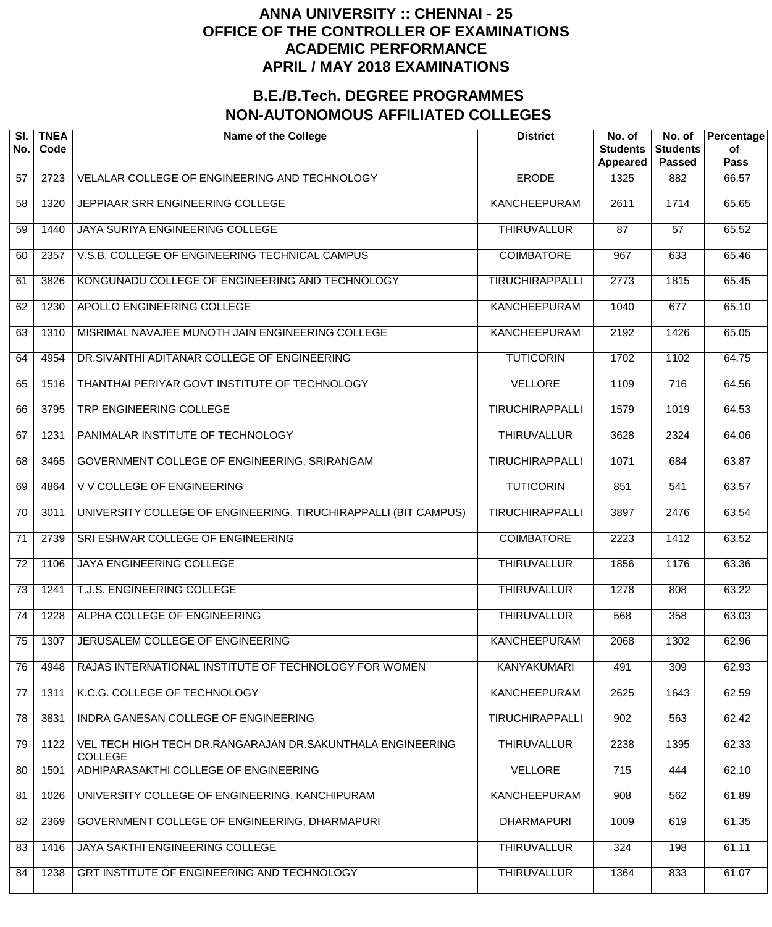| SI.<br>No.      | <b>TNEA</b><br>Code | <b>Name of the College</b>                                                   | <b>District</b>        | No. of<br><b>Students</b><br><b>Appeared</b> | No. of<br><b>Students</b><br><b>Passed</b> | Percentage<br>of<br><b>Pass</b> |
|-----------------|---------------------|------------------------------------------------------------------------------|------------------------|----------------------------------------------|--------------------------------------------|---------------------------------|
| 57              | 2723                | VELALAR COLLEGE OF ENGINEERING AND TECHNOLOGY                                | <b>ERODE</b>           | 1325                                         | 882                                        | 66.57                           |
| 58              | 1320                | JEPPIAAR SRR ENGINEERING COLLEGE                                             | <b>KANCHEEPURAM</b>    | 2611                                         | 1714                                       | 65.65                           |
| 59              | 1440                | JAYA SURIYA ENGINEERING COLLEGE                                              | <b>THIRUVALLUR</b>     | 87                                           | 57                                         | 65.52                           |
| 60              | 2357                | V.S.B. COLLEGE OF ENGINEERING TECHNICAL CAMPUS                               | <b>COIMBATORE</b>      | 967                                          | 633                                        | 65.46                           |
| 61              | 3826                | KONGUNADU COLLEGE OF ENGINEERING AND TECHNOLOGY                              | <b>TIRUCHIRAPPALLI</b> | $\overline{2773}$                            | 1815                                       | 65.45                           |
| 62              | 1230                | APOLLO ENGINEERING COLLEGE                                                   | KANCHEEPURAM           | 1040                                         | 677                                        | 65.10                           |
| 63              | 1310                | MISRIMAL NAVAJEE MUNOTH JAIN ENGINEERING COLLEGE                             | KANCHEEPURAM           | 2192                                         | 1426                                       | 65.05                           |
| 64              | 4954                | DR.SIVANTHI ADITANAR COLLEGE OF ENGINEERING                                  | <b>TUTICORIN</b>       | 1702                                         | 1102                                       | 64.75                           |
| 65              | 1516                | THANTHAI PERIYAR GOVT INSTITUTE OF TECHNOLOGY                                | <b>VELLORE</b>         | 1109                                         | $\overline{716}$                           | 64.56                           |
| 66              | 3795                | TRP ENGINEERING COLLEGE                                                      | <b>TIRUCHIRAPPALLI</b> | 1579                                         | 1019                                       | 64.53                           |
| 67              | 1231                | PANIMALAR INSTITUTE OF TECHNOLOGY                                            | <b>THIRUVALLUR</b>     | 3628                                         | 2324                                       | 64.06                           |
| 68              | 3465                | GOVERNMENT COLLEGE OF ENGINEERING, SRIRANGAM                                 | <b>TIRUCHIRAPPALLI</b> | 1071                                         | 684                                        | 63.87                           |
| 69              | 4864                | V V COLLEGE OF ENGINEERING                                                   | <b>TUTICORIN</b>       | 851                                          | 541                                        | 63.57                           |
| 70              | 3011                | UNIVERSITY COLLEGE OF ENGINEERING, TIRUCHIRAPPALLI (BIT CAMPUS)              | <b>TIRUCHIRAPPALLI</b> | 3897                                         | 2476                                       | 63.54                           |
| 71              | 2739                | SRI ESHWAR COLLEGE OF ENGINEERING                                            | <b>COIMBATORE</b>      | 2223                                         | 1412                                       | 63.52                           |
| 72              | 1106                | <b>JAYA ENGINEERING COLLEGE</b>                                              | <b>THIRUVALLUR</b>     | 1856                                         | 1176                                       | 63.36                           |
| $\overline{73}$ | 1241                | T.J.S. ENGINEERING COLLEGE                                                   | <b>THIRUVALLUR</b>     | 1278                                         | 808                                        | 63.22                           |
| $\overline{74}$ | 1228                | ALPHA COLLEGE OF ENGINEERING                                                 | <b>THIRUVALLUR</b>     | 568                                          | 358                                        | 63.03                           |
| 75              | 1307                | JERUSALEM COLLEGE OF ENGINEERING                                             | <b>KANCHEEPURAM</b>    | 2068                                         | 1302                                       | 62.96                           |
| 76              | 4948                | RAJAS INTERNATIONAL INSTITUTE OF TECHNOLOGY FOR WOMEN                        | <b>KANYAKUMARI</b>     | 491                                          | 309                                        | 62.93                           |
| 77              | 1311                | K.C.G. COLLEGE OF TECHNOLOGY                                                 | <b>KANCHEEPURAM</b>    | 2625                                         | 1643                                       | 62.59                           |
| 78              | 3831                | INDRA GANESAN COLLEGE OF ENGINEERING                                         | <b>TIRUCHIRAPPALLI</b> | 902                                          | 563                                        | 62.42                           |
| 79              | 1122                | VEL TECH HIGH TECH DR.RANGARAJAN DR.SAKUNTHALA ENGINEERING<br><b>COLLEGE</b> | <b>THIRUVALLUR</b>     | 2238                                         | 1395                                       | 62.33                           |
| 80              | 1501                | ADHIPARASAKTHI COLLEGE OF ENGINEERING                                        | <b>VELLORE</b>         | 715                                          | 444                                        | 62.10                           |
| 81              | 1026                | UNIVERSITY COLLEGE OF ENGINEERING, KANCHIPURAM                               | <b>KANCHEEPURAM</b>    | 908                                          | 562                                        | 61.89                           |
| 82              | 2369                | GOVERNMENT COLLEGE OF ENGINEERING, DHARMAPURI                                | <b>DHARMAPURI</b>      | 1009                                         | 619                                        | 61.35                           |
| 83              | 1416                | JAYA SAKTHI ENGINEERING COLLEGE                                              | <b>THIRUVALLUR</b>     | 324                                          | 198                                        | 61.11                           |
| 84              | 1238                | GRT INSTITUTE OF ENGINEERING AND TECHNOLOGY                                  | <b>THIRUVALLUR</b>     | 1364                                         | 833                                        | 61.07                           |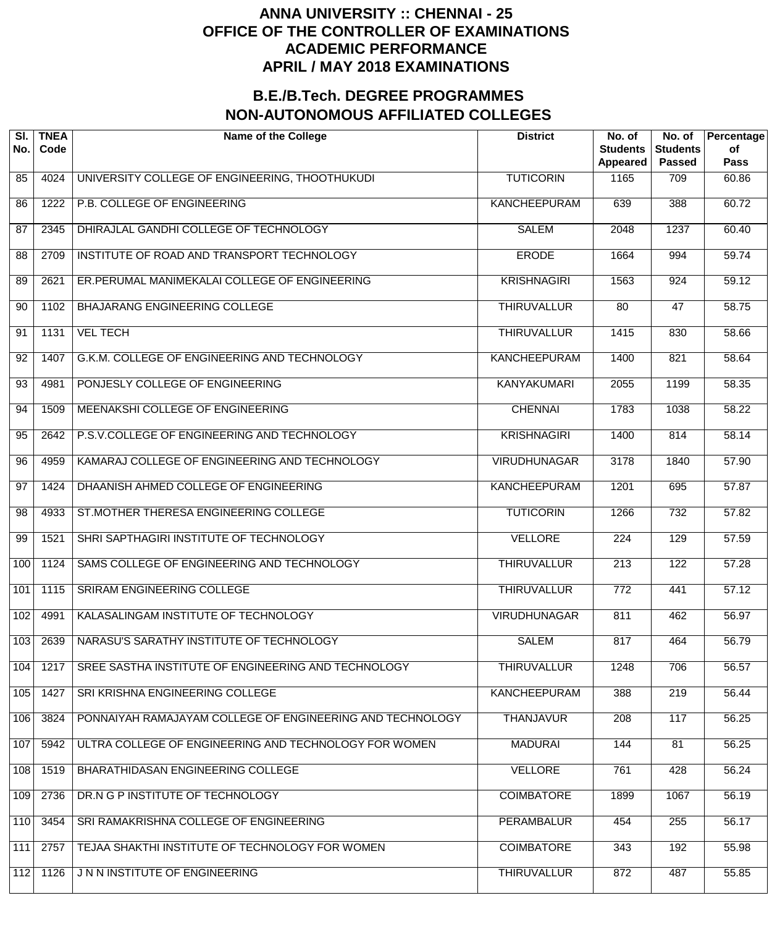| SI.<br>No. | <b>TNEA</b><br>Code | <b>Name of the College</b>                                | <b>District</b>     | No. of<br><b>Students</b><br><b>Appeared</b> | No. of<br><b>Students</b><br><b>Passed</b> | Percentage<br>of<br>Pass |
|------------|---------------------|-----------------------------------------------------------|---------------------|----------------------------------------------|--------------------------------------------|--------------------------|
| 85         | 4024                | UNIVERSITY COLLEGE OF ENGINEERING, THOOTHUKUDI            | <b>TUTICORIN</b>    | 1165                                         | 709                                        | 60.86                    |
| 86         | 1222                | P.B. COLLEGE OF ENGINEERING                               | <b>KANCHEEPURAM</b> | 639                                          | 388                                        | 60.72                    |
| 87         | 2345                | DHIRAJLAL GANDHI COLLEGE OF TECHNOLOGY                    | <b>SALEM</b>        | 2048                                         | 1237                                       | 60.40                    |
| 88         | 2709                | INSTITUTE OF ROAD AND TRANSPORT TECHNOLOGY                | <b>ERODE</b>        | 1664                                         | 994                                        | 59.74                    |
| 89         | 2621                | ER. PERUMAL MANIMEKALAI COLLEGE OF ENGINEERING            | <b>KRISHNAGIRI</b>  | 1563                                         | $\overline{924}$                           | $\overline{59.12}$       |
| 90         | 1102                | BHAJARANG ENGINEERING COLLEGE                             | <b>THIRUVALLUR</b>  | $\overline{80}$                              | 47                                         | 58.75                    |
| 91         | 1131                | <b>VEL TECH</b>                                           | <b>THIRUVALLUR</b>  | 1415                                         | 830                                        | 58.66                    |
| 92         | 1407                | G.K.M. COLLEGE OF ENGINEERING AND TECHNOLOGY              | <b>KANCHEEPURAM</b> | 1400                                         | 821                                        | 58.64                    |
| 93         | 4981                | PONJESLY COLLEGE OF ENGINEERING                           | <b>KANYAKUMARI</b>  | $\overline{2055}$                            | 1199                                       | 58.35                    |
| 94         | 1509                | MEENAKSHI COLLEGE OF ENGINEERING                          | <b>CHENNAI</b>      | 1783                                         | 1038                                       | 58.22                    |
| 95         | 2642                | P.S.V.COLLEGE OF ENGINEERING AND TECHNOLOGY               | <b>KRISHNAGIRI</b>  | 1400                                         | 814                                        | 58.14                    |
| 96         | 4959                | KAMARAJ COLLEGE OF ENGINEERING AND TECHNOLOGY             | <b>VIRUDHUNAGAR</b> | 3178                                         | 1840                                       | 57.90                    |
| 97         | 1424                | DHAANISH AHMED COLLEGE OF ENGINEERING                     | <b>KANCHEEPURAM</b> | 1201                                         | 695                                        | 57.87                    |
| 98         | 4933                | ST.MOTHER THERESA ENGINEERING COLLEGE                     | <b>TUTICORIN</b>    | 1266                                         | $\overline{732}$                           | 57.82                    |
| 99         | 1521                | SHRI SAPTHAGIRI INSTITUTE OF TECHNOLOGY                   | <b>VELLORE</b>      | $\overline{224}$                             | 129                                        | 57.59                    |
| 100        | 1124                | SAMS COLLEGE OF ENGINEERING AND TECHNOLOGY                | <b>THIRUVALLUR</b>  | $\overline{213}$                             | 122                                        | 57.28                    |
| 101        | 1115                | <b>SRIRAM ENGINEERING COLLEGE</b>                         | <b>THIRUVALLUR</b>  | $\overline{772}$                             | 441                                        | 57.12                    |
| 102        | 4991                | KALASALINGAM INSTITUTE OF TECHNOLOGY                      | <b>VIRUDHUNAGAR</b> | 811                                          | 462                                        | 56.97                    |
| 103        | 2639                | NARASU'S SARATHY INSTITUTE OF TECHNOLOGY                  | <b>SALEM</b>        | 817                                          | 464                                        | 56.79                    |
| 104        | 1217                | SREE SASTHA INSTITUTE OF ENGINEERING AND TECHNOLOGY       | <b>THIRUVALLUR</b>  | 1248                                         | 706                                        | 56.57                    |
| 105        | 1427                | SRI KRISHNA ENGINEERING COLLEGE                           | <b>KANCHEEPURAM</b> | 388                                          | $\overline{219}$                           | 56.44                    |
| 106        | 3824                | PONNAIYAH RAMAJAYAM COLLEGE OF ENGINEERING AND TECHNOLOGY | <b>THANJAVUR</b>    | 208                                          | 117                                        | 56.25                    |
| 107        | 5942                | ULTRA COLLEGE OF ENGINEERING AND TECHNOLOGY FOR WOMEN     | <b>MADURAI</b>      | 144                                          | 81                                         | 56.25                    |
| 108        | 1519                | BHARATHIDASAN ENGINEERING COLLEGE                         | <b>VELLORE</b>      | 761                                          | 428                                        | 56.24                    |
| 109        | 2736                | DR.N G P INSTITUTE OF TECHNOLOGY                          | <b>COIMBATORE</b>   | 1899                                         | 1067                                       | 56.19                    |
| 110        | 3454                | SRI RAMAKRISHNA COLLEGE OF ENGINEERING                    | <b>PERAMBALUR</b>   | 454                                          | 255                                        | 56.17                    |
| 111        | 2757                | TEJAA SHAKTHI INSTITUTE OF TECHNOLOGY FOR WOMEN           | <b>COIMBATORE</b>   | 343                                          | 192                                        | 55.98                    |
| 112        | 1126                | J N N INSTITUTE OF ENGINEERING                            | <b>THIRUVALLUR</b>  | 872                                          | 487                                        | 55.85                    |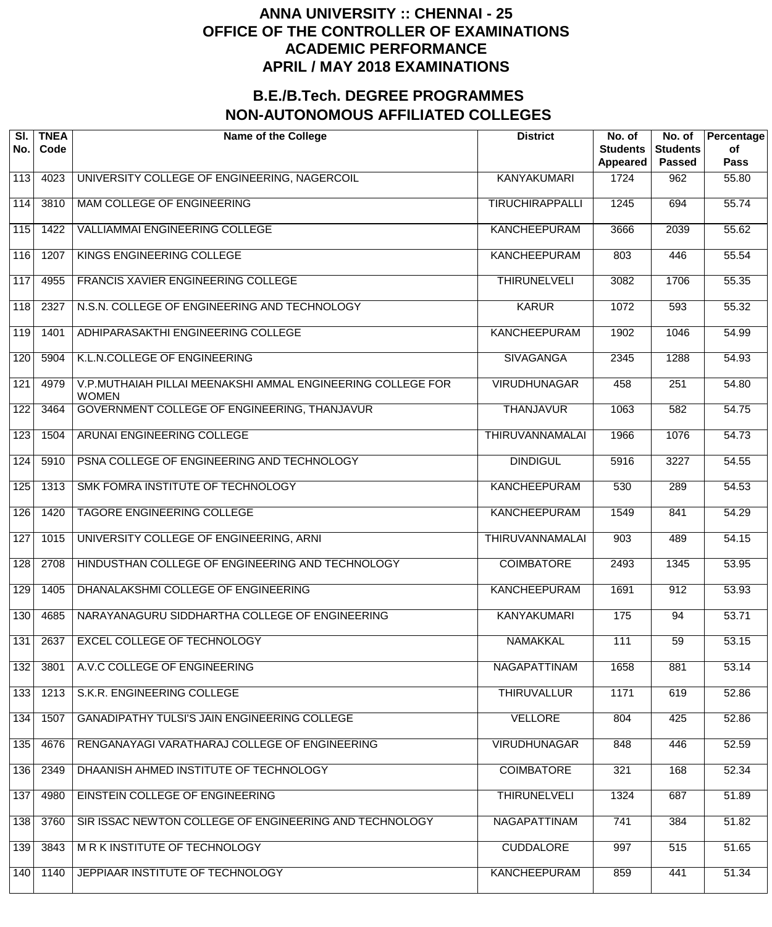| SI.<br>No.       | <b>TNEA</b><br>Code | <b>Name of the College</b>                                                  | <b>District</b>        | No. of<br><b>Students</b><br>Appeared | No. of<br><b>Students</b><br><b>Passed</b> | Percentage<br>of<br><b>Pass</b> |
|------------------|---------------------|-----------------------------------------------------------------------------|------------------------|---------------------------------------|--------------------------------------------|---------------------------------|
| 113              | 4023                | UNIVERSITY COLLEGE OF ENGINEERING, NAGERCOIL                                | <b>KANYAKUMARI</b>     | 1724                                  | 962                                        | 55.80                           |
| 114              | 3810                | <b>MAM COLLEGE OF ENGINEERING</b>                                           | <b>TIRUCHIRAPPALLI</b> | 1245                                  | 694                                        | 55.74                           |
| 115              | 1422                | <b>VALLIAMMAI ENGINEERING COLLEGE</b>                                       | <b>KANCHEEPURAM</b>    | 3666                                  | 2039                                       | 55.62                           |
| 116              | 1207                | KINGS ENGINEERING COLLEGE                                                   | <b>KANCHEEPURAM</b>    | 803                                   | 446                                        | 55.54                           |
| $\overline{117}$ | 4955                | FRANCIS XAVIER ENGINEERING COLLEGE                                          | <b>THIRUNELVELI</b>    | 3082                                  | 1706                                       | 55.35                           |
| 118              | 2327                | N.S.N. COLLEGE OF ENGINEERING AND TECHNOLOGY                                | <b>KARUR</b>           | 1072                                  | 593                                        | 55.32                           |
| 119              | 1401                | ADHIPARASAKTHI ENGINEERING COLLEGE                                          | <b>KANCHEEPURAM</b>    | 1902                                  | 1046                                       | 54.99                           |
| 120              | 5904                | K.L.N.COLLEGE OF ENGINEERING                                                | <b>SIVAGANGA</b>       | 2345                                  | 1288                                       | 54.93                           |
| 121              | 4979                | V.P.MUTHAIAH PILLAI MEENAKSHI AMMAL ENGINEERING COLLEGE FOR<br><b>WOMEN</b> | <b>VIRUDHUNAGAR</b>    | 458                                   | $\overline{251}$                           | 54.80                           |
| 122              | 3464                | GOVERNMENT COLLEGE OF ENGINEERING, THANJAVUR                                | <b>THANJAVUR</b>       | 1063                                  | 582                                        | 54.75                           |
| 123              | 1504                | ARUNAI ENGINEERING COLLEGE                                                  | <b>THIRUVANNAMALAI</b> | 1966                                  | 1076                                       | 54.73                           |
| 124              | 5910                | PSNA COLLEGE OF ENGINEERING AND TECHNOLOGY                                  | <b>DINDIGUL</b>        | 5916                                  | 3227                                       | 54.55                           |
| 125              | 1313                | SMK FOMRA INSTITUTE OF TECHNOLOGY                                           | <b>KANCHEEPURAM</b>    | 530                                   | 289                                        | 54.53                           |
| 126              | 1420                | TAGORE ENGINEERING COLLEGE                                                  | <b>KANCHEEPURAM</b>    | 1549                                  | 841                                        | 54.29                           |
| 127              | 1015                | UNIVERSITY COLLEGE OF ENGINEERING, ARNI                                     | THIRUVANNAMALAI        | 903                                   | 489                                        | 54.15                           |
| 128              | 2708                | HINDUSTHAN COLLEGE OF ENGINEERING AND TECHNOLOGY                            | <b>COIMBATORE</b>      | 2493                                  | 1345                                       | 53.95                           |
| 129              | 1405                | DHANALAKSHMI COLLEGE OF ENGINEERING                                         | <b>KANCHEEPURAM</b>    | 1691                                  | 912                                        | 53.93                           |
| 130              | 4685                | NARAYANAGURU SIDDHARTHA COLLEGE OF ENGINEERING                              | <b>KANYAKUMARI</b>     | 175                                   | 94                                         | 53.71                           |
| 131              | 2637                | <b>EXCEL COLLEGE OF TECHNOLOGY</b>                                          | <b>NAMAKKAL</b>        | 111                                   | 59                                         | 53.15                           |
| $\overline{132}$ | 3801                | A.V.C COLLEGE OF ENGINEERING                                                | <b>NAGAPATTINAM</b>    | 1658                                  | 881                                        | 53.14                           |
| 133              | 1213                | S.K.R. ENGINEERING COLLEGE                                                  | <b>THIRUVALLUR</b>     | 1171                                  | 619                                        | 52.86                           |
| 134              | 1507                | <b>GANADIPATHY TULSI'S JAIN ENGINEERING COLLEGE</b>                         | <b>VELLORE</b>         | 804                                   | 425                                        | 52.86                           |
| 135              | 4676                | RENGANAYAGI VARATHARAJ COLLEGE OF ENGINEERING                               | <b>VIRUDHUNAGAR</b>    | 848                                   | 446                                        | 52.59                           |
| 136              | 2349                | DHAANISH AHMED INSTITUTE OF TECHNOLOGY                                      | <b>COIMBATORE</b>      | 321                                   | 168                                        | 52.34                           |
| 137              | 4980                | EINSTEIN COLLEGE OF ENGINEERING                                             | <b>THIRUNELVELI</b>    | 1324                                  | 687                                        | 51.89                           |
| 138              | 3760                | SIR ISSAC NEWTON COLLEGE OF ENGINEERING AND TECHNOLOGY                      | NAGAPATTINAM           | 741                                   | 384                                        | 51.82                           |
| 139              | 3843                | M R K INSTITUTE OF TECHNOLOGY                                               | <b>CUDDALORE</b>       | 997                                   | 515                                        | 51.65                           |
| 140              | 1140                | JEPPIAAR INSTITUTE OF TECHNOLOGY                                            | <b>KANCHEEPURAM</b>    | 859                                   | 441                                        | 51.34                           |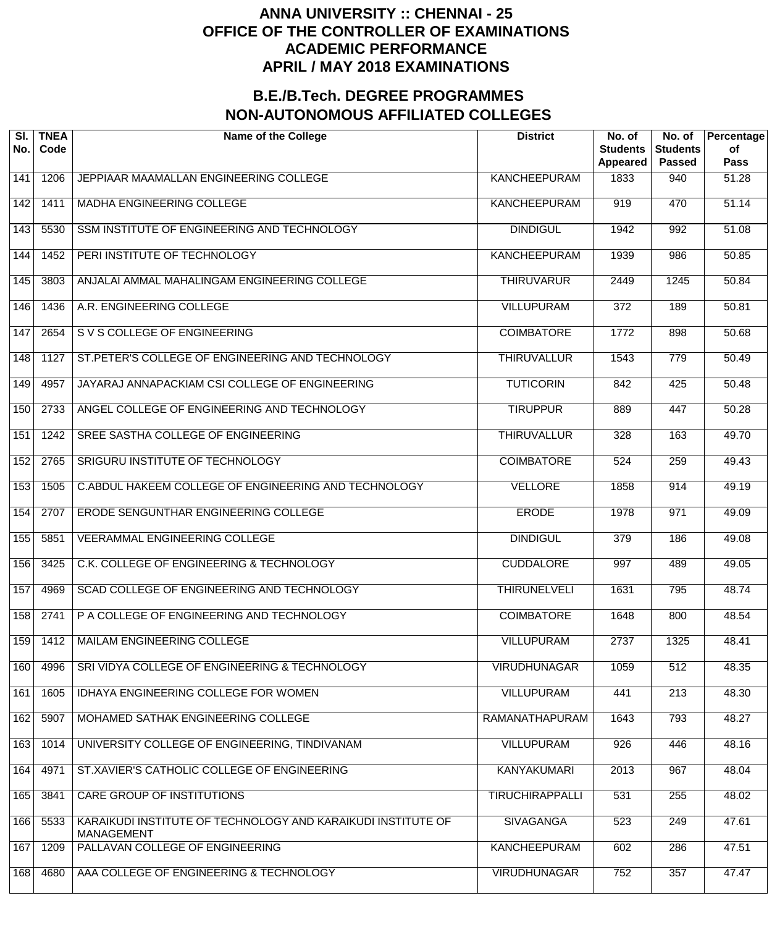| SI.<br>No.        | <b>TNEA</b><br>Code | <b>Name of the College</b>                                                        | <b>District</b>        | No. of<br><b>Students</b><br>Appeared | No. of<br><b>Students</b><br><b>Passed</b> | Percentage<br>of<br>Pass |
|-------------------|---------------------|-----------------------------------------------------------------------------------|------------------------|---------------------------------------|--------------------------------------------|--------------------------|
| 141               | 1206                | JEPPIAAR MAAMALLAN ENGINEERING COLLEGE                                            | <b>KANCHEEPURAM</b>    | 1833                                  | 940                                        | 51.28                    |
| 142               | 1411                | MADHA ENGINEERING COLLEGE                                                         | <b>KANCHEEPURAM</b>    | 919                                   | 470                                        | 51.14                    |
| 143               | 5530                | SSM INSTITUTE OF ENGINEERING AND TECHNOLOGY                                       | <b>DINDIGUL</b>        | 1942                                  | 992                                        | 51.08                    |
| 144               | $\overline{1}$ 452  | PERI INSTITUTE OF TECHNOLOGY                                                      | <b>KANCHEEPURAM</b>    | 1939                                  | 986                                        | 50.85                    |
| $\frac{145}{145}$ | 3803                | ANJALAI AMMAL MAHALINGAM ENGINEERING COLLEGE                                      | <b>THIRUVARUR</b>      | 2449                                  | 1245                                       | $\overline{50.84}$       |
| 146               | 1436                | A.R. ENGINEERING COLLEGE                                                          | <b>VILLUPURAM</b>      | $\overline{372}$                      | 189                                        | 50.81                    |
| 147               | 2654                | S V S COLLEGE OF ENGINEERING                                                      | <b>COIMBATORE</b>      | 1772                                  | 898                                        | $\frac{1}{50.68}$        |
| 148               | 1127                | ST. PETER'S COLLEGE OF ENGINEERING AND TECHNOLOGY                                 | <b>THIRUVALLUR</b>     | 1543                                  | $\overline{779}$                           | $\frac{1}{50.49}$        |
| 149               | 4957                | JAYARAJ ANNAPACKIAM CSI COLLEGE OF ENGINEERING                                    | <b>TUTICORIN</b>       | 842                                   | 425                                        | 50.48                    |
| 150               | 2733                | ANGEL COLLEGE OF ENGINEERING AND TECHNOLOGY                                       | <b>TIRUPPUR</b>        | 889                                   | 447                                        | $\frac{1}{50.28}$        |
| 151               | 1242                | SREE SASTHA COLLEGE OF ENGINEERING                                                | <b>THIRUVALLUR</b>     | 328                                   | 163                                        | 49.70                    |
| 152               | 2765                | SRIGURU INSTITUTE OF TECHNOLOGY                                                   | <b>COIMBATORE</b>      | 524                                   | 259                                        | 49.43                    |
| 153               | 1505                | C.ABDUL HAKEEM COLLEGE OF ENGINEERING AND TECHNOLOGY                              | <b>VELLORE</b>         | 1858                                  | 914                                        | 49.19                    |
| 154               | 2707                | ERODE SENGUNTHAR ENGINEERING COLLEGE                                              | <b>ERODE</b>           | 1978                                  | 971                                        | 49.09                    |
| 155               | 5851                | VEERAMMAL ENGINEERING COLLEGE                                                     | <b>DINDIGUL</b>        | $\overline{379}$                      | 186                                        | 49.08                    |
| 156               | 3425                | C.K. COLLEGE OF ENGINEERING & TECHNOLOGY                                          | <b>CUDDALORE</b>       | 997                                   | 489                                        | 49.05                    |
| 157               | 4969                | SCAD COLLEGE OF ENGINEERING AND TECHNOLOGY                                        | <b>THIRUNELVELI</b>    | 1631                                  | 795                                        | 48.74                    |
| 158               | 2741                | P A COLLEGE OF ENGINEERING AND TECHNOLOGY                                         | <b>COIMBATORE</b>      | 1648                                  | 800                                        | 48.54                    |
| 159               | 1412                | MAILAM ENGINEERING COLLEGE                                                        | <b>VILLUPURAM</b>      | 2737                                  | 1325                                       | 48.41                    |
| 160               | 4996                | SRI VIDYA COLLEGE OF ENGINEERING & TECHNOLOGY                                     | <b>VIRUDHUNAGAR</b>    | 1059                                  | 512                                        | 48.35                    |
| 161               | 1605                | <b>IDHAYA ENGINEERING COLLEGE FOR WOMEN</b>                                       | <b>VILLUPURAM</b>      | 441                                   | $\overline{213}$                           | 48.30                    |
| 162               | 5907                | MOHAMED SATHAK ENGINEERING COLLEGE                                                | RAMANATHAPURAM         | 1643                                  | 793                                        | 48.27                    |
| 163               | 1014                | UNIVERSITY COLLEGE OF ENGINEERING, TINDIVANAM                                     | <b>VILLUPURAM</b>      | 926                                   | 446                                        | 48.16                    |
| 164               | 4971                | ST.XAVIER'S CATHOLIC COLLEGE OF ENGINEERING                                       | <b>KANYAKUMARI</b>     | 2013                                  | 967                                        | 48.04                    |
| 165               | 3841                | CARE GROUP OF INSTITUTIONS                                                        | <b>TIRUCHIRAPPALLI</b> | 531                                   | 255                                        | 48.02                    |
| 166               | 5533                | KARAIKUDI INSTITUTE OF TECHNOLOGY AND KARAIKUDI INSTITUTE OF<br><b>MANAGEMENT</b> | <b>SIVAGANGA</b>       | 523                                   | 249                                        | 47.61                    |
| 167               | 1209                | PALLAVAN COLLEGE OF ENGINEERING                                                   | <b>KANCHEEPURAM</b>    | 602                                   | 286                                        | 47.51                    |
| 168               | 4680                | AAA COLLEGE OF ENGINEERING & TECHNOLOGY                                           | <b>VIRUDHUNAGAR</b>    | 752                                   | 357                                        | 47.47                    |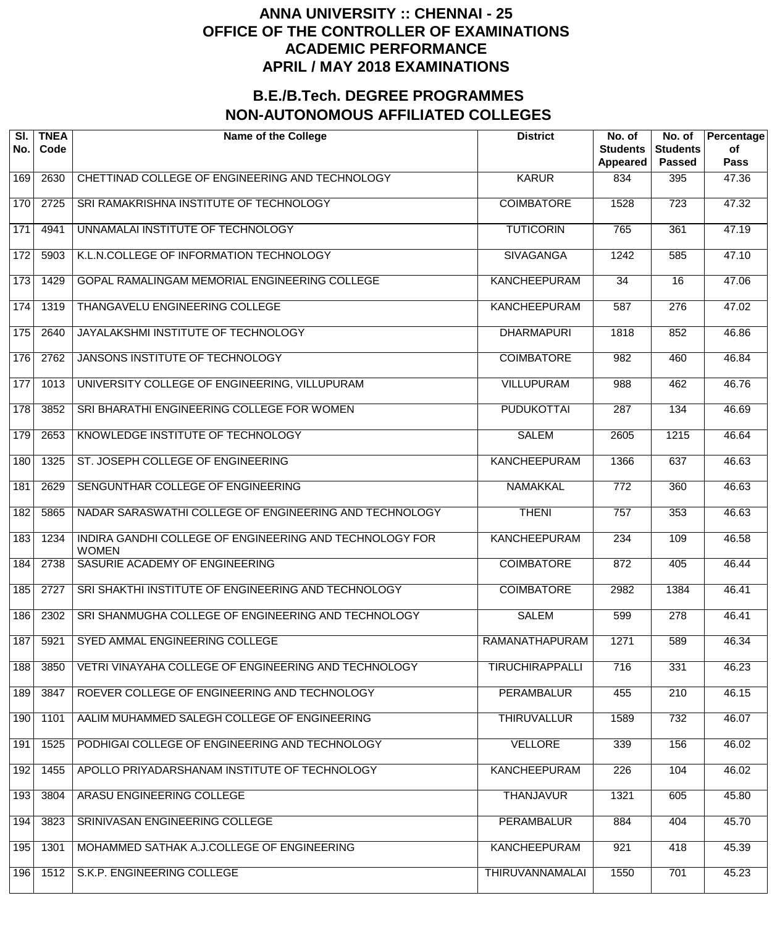| SI.<br>No. | <b>TNEA</b><br>Code | <b>Name of the College</b>                                              | <b>District</b>        | No. of<br><b>Students</b><br>Appeared | No. of<br><b>Students</b><br><b>Passed</b> | Percentage<br>of<br>Pass |
|------------|---------------------|-------------------------------------------------------------------------|------------------------|---------------------------------------|--------------------------------------------|--------------------------|
| 169        | 2630                | CHETTINAD COLLEGE OF ENGINEERING AND TECHNOLOGY                         | <b>KARUR</b>           | 834                                   | 395                                        | 47.36                    |
| 170        | 2725                | SRI RAMAKRISHNA INSTITUTE OF TECHNOLOGY                                 | <b>COIMBATORE</b>      | 1528                                  | $\overline{723}$                           | 47.32                    |
| 171        | 4941                | UNNAMALAI INSTITUTE OF TECHNOLOGY                                       | <b>TUTICORIN</b>       | 765                                   | 361                                        | 47.19                    |
| 172        | 5903                | K.L.N.COLLEGE OF INFORMATION TECHNOLOGY                                 | <b>SIVAGANGA</b>       | 1242                                  | 585                                        | 47.10                    |
| 173        | 1429                | GOPAL RAMALINGAM MEMORIAL ENGINEERING COLLEGE                           | <b>KANCHEEPURAM</b>    | 34                                    | 16                                         | 47.06                    |
| 174        | 1319                | THANGAVELU ENGINEERING COLLEGE                                          | <b>KANCHEEPURAM</b>    | 587                                   | $\overline{276}$                           | 47.02                    |
| 175        | 2640                | JAYALAKSHMI INSTITUTE OF TECHNOLOGY                                     | <b>DHARMAPURI</b>      | 1818                                  | 852                                        | 46.86                    |
| 176        | 2762                | JANSONS INSTITUTE OF TECHNOLOGY                                         | <b>COIMBATORE</b>      | 982                                   | 460                                        | 46.84                    |
| 177        | 1013                | UNIVERSITY COLLEGE OF ENGINEERING, VILLUPURAM                           | <b>VILLUPURAM</b>      | 988                                   | 462                                        | 46.76                    |
| 178        | 3852                | SRI BHARATHI ENGINEERING COLLEGE FOR WOMEN                              | <b>PUDUKOTTAI</b>      | 287                                   | 134                                        | 46.69                    |
| 179        | 2653                | KNOWLEDGE INSTITUTE OF TECHNOLOGY                                       | <b>SALEM</b>           | 2605                                  | $\overline{1215}$                          | 46.64                    |
| 180        | 1325                | ST. JOSEPH COLLEGE OF ENGINEERING                                       | <b>KANCHEEPURAM</b>    | 1366                                  | 637                                        | 46.63                    |
| 181        | 2629                | SENGUNTHAR COLLEGE OF ENGINEERING                                       | <b>NAMAKKAL</b>        | $\overline{772}$                      | 360                                        | 46.63                    |
| 182        | 5865                | NADAR SARASWATHI COLLEGE OF ENGINEERING AND TECHNOLOGY                  | <b>THENI</b>           | 757                                   | 353                                        | 46.63                    |
| 183        | 1234                | INDIRA GANDHI COLLEGE OF ENGINEERING AND TECHNOLOGY FOR<br><b>WOMEN</b> | <b>KANCHEEPURAM</b>    | 234                                   | 109                                        | 46.58                    |
| 184        | 2738                | SASURIE ACADEMY OF ENGINEERING                                          | <b>COIMBATORE</b>      | 872                                   | 405                                        | 46.44                    |
| 185        | 2727                | SRI SHAKTHI INSTITUTE OF ENGINEERING AND TECHNOLOGY                     | <b>COIMBATORE</b>      | 2982                                  | 1384                                       | 46.41                    |
| 186        | 2302                | SRI SHANMUGHA COLLEGE OF ENGINEERING AND TECHNOLOGY                     | <b>SALEM</b>           | 599                                   | $\overline{278}$                           | 46.41                    |
| 187        | 5921                | SYED AMMAL ENGINEERING COLLEGE                                          | RAMANATHAPURAM         | 1271                                  | 589                                        | 46.34                    |
| 188        | 3850                | VETRI VINAYAHA COLLEGE OF ENGINEERING AND TECHNOLOGY                    | <b>TIRUCHIRAPPALLI</b> | 716                                   | 331                                        | 46.23                    |
| 189        | 3847                | ROEVER COLLEGE OF ENGINEERING AND TECHNOLOGY                            | <b>PERAMBALUR</b>      | 455                                   | 210                                        | 46.15                    |
| 190        | 1101                | AALIM MUHAMMED SALEGH COLLEGE OF ENGINEERING                            | <b>THIRUVALLUR</b>     | 1589                                  | 732                                        | 46.07                    |
| 191        | 1525                | PODHIGAI COLLEGE OF ENGINEERING AND TECHNOLOGY                          | <b>VELLORE</b>         | 339                                   | 156                                        | 46.02                    |
| 192        | 1455                | APOLLO PRIYADARSHANAM INSTITUTE OF TECHNOLOGY                           | <b>KANCHEEPURAM</b>    | 226                                   | 104                                        | 46.02                    |
| 193        | 3804                | ARASU ENGINEERING COLLEGE                                               | <b>THANJAVUR</b>       | 1321                                  | 605                                        | 45.80                    |
| 194        | 3823                | SRINIVASAN ENGINEERING COLLEGE                                          | <b>PERAMBALUR</b>      | 884                                   | 404                                        | 45.70                    |
| 195        | 1301                | MOHAMMED SATHAK A.J.COLLEGE OF ENGINEERING                              | <b>KANCHEEPURAM</b>    | 921                                   | 418                                        | 45.39                    |
| 196        | 1512                | S.K.P. ENGINEERING COLLEGE                                              | THIRUVANNAMALAI        | 1550                                  | 701                                        | 45.23                    |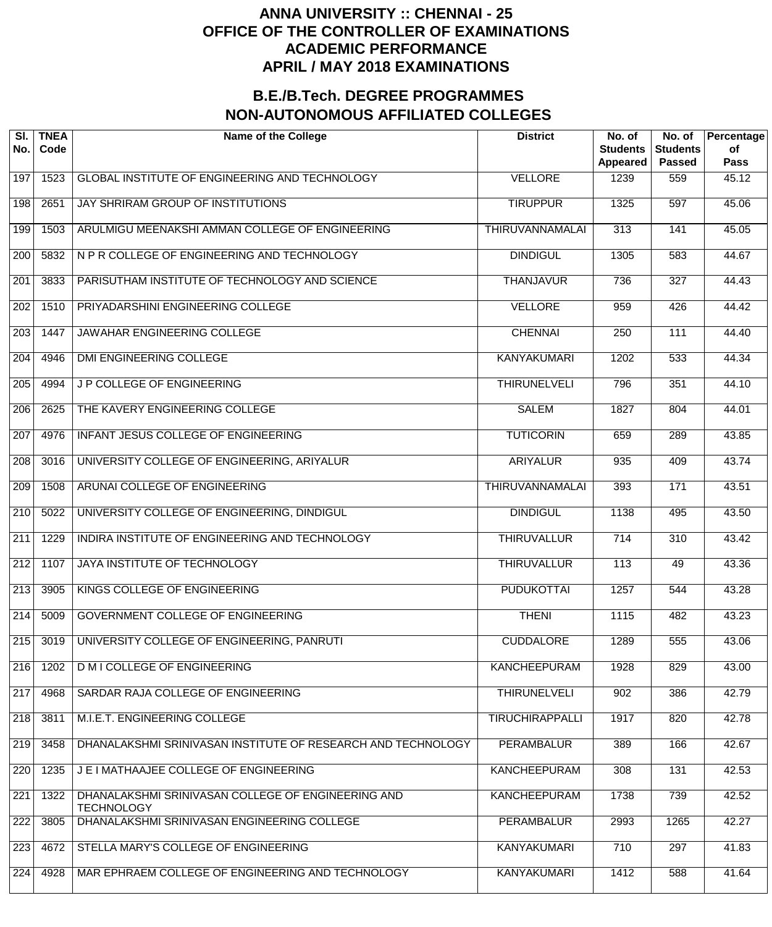| SI.<br>No.       | <b>TNEA</b><br>Code | <b>Name of the College</b>                                              | <b>District</b>        | No. of<br><b>Students</b><br>Appeared | No. of<br><b>Students</b><br><b>Passed</b> | Percentage<br>of<br><b>Pass</b> |
|------------------|---------------------|-------------------------------------------------------------------------|------------------------|---------------------------------------|--------------------------------------------|---------------------------------|
| 197              | 1523                | GLOBAL INSTITUTE OF ENGINEERING AND TECHNOLOGY                          | <b>VELLORE</b>         | 1239                                  | 559                                        | 45.12                           |
| 198              | 2651                | JAY SHRIRAM GROUP OF INSTITUTIONS                                       | <b>TIRUPPUR</b>        | 1325                                  | 597                                        | 45.06                           |
| 199              | 1503                | ARULMIGU MEENAKSHI AMMAN COLLEGE OF ENGINEERING                         | <b>THIRUVANNAMALAI</b> | 313                                   | 141                                        | 45.05                           |
| $\overline{200}$ | 5832                | N P R COLLEGE OF ENGINEERING AND TECHNOLOGY                             | <b>DINDIGUL</b>        | 1305                                  | 583                                        | 44.67                           |
| $\overline{201}$ | 3833                | PARISUTHAM INSTITUTE OF TECHNOLOGY AND SCIENCE                          | <b>THANJAVUR</b>       | 736                                   | 327                                        | 44.43                           |
| $\overline{202}$ | 1510                | PRIYADARSHINI ENGINEERING COLLEGE                                       | <b>VELLORE</b>         | 959                                   | 426                                        | 44.42                           |
| $\overline{203}$ | 1447                | JAWAHAR ENGINEERING COLLEGE                                             | <b>CHENNAI</b>         | 250                                   | 111                                        | 44.40                           |
| $\overline{204}$ | 4946                | <b>DMI ENGINEERING COLLEGE</b>                                          | <b>KANYAKUMARI</b>     | 1202                                  | 533                                        | 44.34                           |
| $\overline{205}$ | 4994                | J P COLLEGE OF ENGINEERING                                              | <b>THIRUNELVELI</b>    | 796                                   | 351                                        | 44.10                           |
| $\overline{206}$ | 2625                | THE KAVERY ENGINEERING COLLEGE                                          | <b>SALEM</b>           | 1827                                  | 804                                        | 44.01                           |
| $\overline{207}$ | 4976                | INFANT JESUS COLLEGE OF ENGINEERING                                     | <b>TUTICORIN</b>       | 659                                   | 289                                        | 43.85                           |
| $\overline{208}$ | 3016                | UNIVERSITY COLLEGE OF ENGINEERING, ARIYALUR                             | <b>ARIYALUR</b>        | 935                                   | 409                                        | 43.74                           |
| $\overline{209}$ | 1508                | ARUNAI COLLEGE OF ENGINEERING                                           | <b>THIRUVANNAMALAI</b> | 393                                   | 171                                        | 43.51                           |
| $\overline{210}$ | 5022                | UNIVERSITY COLLEGE OF ENGINEERING, DINDIGUL                             | <b>DINDIGUL</b>        | 1138                                  | 495                                        | 43.50                           |
| $\overline{211}$ | 1229                | INDIRA INSTITUTE OF ENGINEERING AND TECHNOLOGY                          | <b>THIRUVALLUR</b>     | 714                                   | 310                                        | 43.42                           |
| $\overline{212}$ | 1107                | JAYA INSTITUTE OF TECHNOLOGY                                            | <b>THIRUVALLUR</b>     | 113                                   | 49                                         | 43.36                           |
| $\overline{213}$ | 3905                | KINGS COLLEGE OF ENGINEERING                                            | <b>PUDUKOTTAI</b>      | 1257                                  | 544                                        | 43.28                           |
| $\sqrt{214}$     | 5009                | <b>GOVERNMENT COLLEGE OF ENGINEERING</b>                                | <b>THENI</b>           | 1115                                  | 482                                        | 43.23                           |
| 215              | 3019                | UNIVERSITY COLLEGE OF ENGINEERING, PANRUTI                              | <b>CUDDALORE</b>       | 1289                                  | 555                                        | 43.06                           |
| 216              | 1202                | <b>D M I COLLEGE OF ENGINEERING</b>                                     | <b>KANCHEEPURAM</b>    | 1928                                  | 829                                        | 43.00                           |
| $\overline{217}$ | 4968                | SARDAR RAJA COLLEGE OF ENGINEERING                                      | <b>THIRUNELVELI</b>    | 902                                   | 386                                        | 42.79                           |
| 218              | 3811                | M.I.E.T. ENGINEERING COLLEGE                                            | <b>TIRUCHIRAPPALLI</b> | 1917                                  | 820                                        | 42.78                           |
| 219              | 3458                | DHANALAKSHMI SRINIVASAN INSTITUTE OF RESEARCH AND TECHNOLOGY            | <b>PERAMBALUR</b>      | 389                                   | 166                                        | 42.67                           |
| 220              | 1235                | J E I MATHAAJEE COLLEGE OF ENGINEERING                                  | <b>KANCHEEPURAM</b>    | 308                                   | 131                                        | 42.53                           |
| $\overline{221}$ | 1322                | DHANALAKSHMI SRINIVASAN COLLEGE OF ENGINEERING AND<br><b>TECHNOLOGY</b> | <b>KANCHEEPURAM</b>    | 1738                                  | 739                                        | 42.52                           |
| 222              | 3805                | DHANALAKSHMI SRINIVASAN ENGINEERING COLLEGE                             | <b>PERAMBALUR</b>      | 2993                                  | 1265                                       | 42.27                           |
| 223              | 4672                | STELLA MARY'S COLLEGE OF ENGINEERING                                    | <b>KANYAKUMARI</b>     | 710                                   | 297                                        | 41.83                           |
| $\overline{224}$ | 4928                | MAR EPHRAEM COLLEGE OF ENGINEERING AND TECHNOLOGY                       | <b>KANYAKUMARI</b>     | 1412                                  | 588                                        | 41.64                           |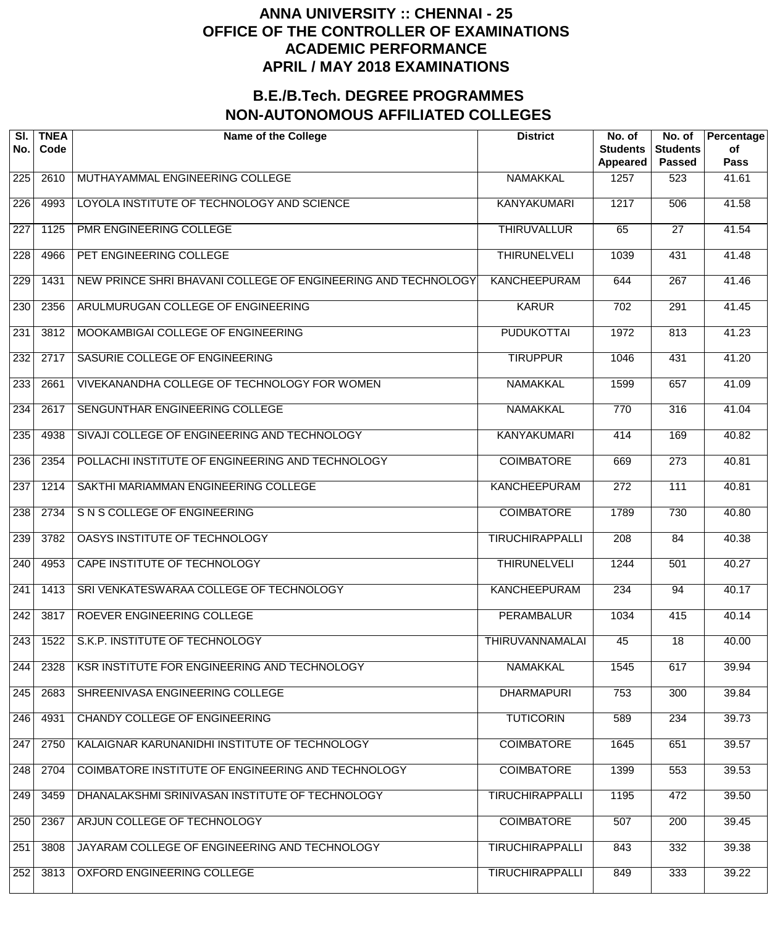| SI.<br>No.       | <b>TNEA</b><br>Code | <b>Name of the College</b>                                    | <b>District</b>        | No. of<br><b>Students</b><br><b>Appeared</b> | No. of<br><b>Students</b><br><b>Passed</b> | Percentage<br>of<br><b>Pass</b> |
|------------------|---------------------|---------------------------------------------------------------|------------------------|----------------------------------------------|--------------------------------------------|---------------------------------|
| 225              | 2610                | MUTHAYAMMAL ENGINEERING COLLEGE                               | <b>NAMAKKAL</b>        | 1257                                         | 523                                        | 41.61                           |
| $\overline{226}$ | 4993                | LOYOLA INSTITUTE OF TECHNOLOGY AND SCIENCE                    | <b>KANYAKUMARI</b>     | 1217                                         | 506                                        | 41.58                           |
| 227              | 1125                | PMR ENGINEERING COLLEGE                                       | <b>THIRUVALLUR</b>     | 65                                           | $\overline{27}$                            | 41.54                           |
| $\overline{228}$ | 4966                | PET ENGINEERING COLLEGE                                       | <b>THIRUNELVELI</b>    | 1039                                         | 431                                        | 41.48                           |
| 229              | 1431                | NEW PRINCE SHRI BHAVANI COLLEGE OF ENGINEERING AND TECHNOLOGY | <b>KANCHEEPURAM</b>    | 644                                          | $\overline{267}$                           | 41.46                           |
| 230              | 2356                | ARULMURUGAN COLLEGE OF ENGINEERING                            | <b>KARUR</b>           | $\overline{702}$                             | 291                                        | 41.45                           |
| 231              | 3812                | MOOKAMBIGAI COLLEGE OF ENGINEERING                            | <b>PUDUKOTTAI</b>      | 1972                                         | 813                                        | 41.23                           |
| 232              | 2717                | SASURIE COLLEGE OF ENGINEERING                                | <b>TIRUPPUR</b>        | 1046                                         | 431                                        | 41.20                           |
| 233              | 2661                | VIVEKANANDHA COLLEGE OF TECHNOLOGY FOR WOMEN                  | <b>NAMAKKAL</b>        | 1599                                         | 657                                        | 41.09                           |
| 234              | 2617                | SENGUNTHAR ENGINEERING COLLEGE                                | <b>NAMAKKAL</b>        | 770                                          | 316                                        | 41.04                           |
| 235              | 4938                | SIVAJI COLLEGE OF ENGINEERING AND TECHNOLOGY                  | <b>KANYAKUMARI</b>     | 414                                          | 169                                        | 40.82                           |
| 236              | 2354                | POLLACHI INSTITUTE OF ENGINEERING AND TECHNOLOGY              | <b>COIMBATORE</b>      | 669                                          | $\overline{273}$                           | 40.81                           |
| $\overline{237}$ | 1214                | SAKTHI MARIAMMAN ENGINEERING COLLEGE                          | <b>KANCHEEPURAM</b>    | $\overline{272}$                             | 111                                        | 40.81                           |
| 238              | 2734                | S N S COLLEGE OF ENGINEERING                                  | <b>COIMBATORE</b>      | 1789                                         | 730                                        | 40.80                           |
| 239              | 3782                | OASYS INSTITUTE OF TECHNOLOGY                                 | <b>TIRUCHIRAPPALLI</b> | $\overline{208}$                             | 84                                         | 40.38                           |
| 240              | 4953                | CAPE INSTITUTE OF TECHNOLOGY                                  | <b>THIRUNELVELI</b>    | 1244                                         | 501                                        | 40.27                           |
| 241              | 1413                | SRI VENKATESWARAA COLLEGE OF TECHNOLOGY                       | <b>KANCHEEPURAM</b>    | 234                                          | 94                                         | 40.17                           |
| 242              | 3817                | ROEVER ENGINEERING COLLEGE                                    | <b>PERAMBALUR</b>      | 1034                                         | 415                                        | 40.14                           |
| 243              | 1522                | S.K.P. INSTITUTE OF TECHNOLOGY                                | <b>THIRUVANNAMALAI</b> | 45                                           | $\overline{18}$                            | 40.00                           |
| 244              | 2328                | <b>KSR INSTITUTE FOR ENGINEERING AND TECHNOLOGY</b>           | <b>NAMAKKAL</b>        | 1545                                         | 617                                        | 39.94                           |
| 245              | 2683                | SHREENIVASA ENGINEERING COLLEGE                               | <b>DHARMAPURI</b>      | 753                                          | 300                                        | 39.84                           |
| 246              | 4931                | <b>CHANDY COLLEGE OF ENGINEERING</b>                          | <b>TUTICORIN</b>       | 589                                          | 234                                        | 39.73                           |
| 247              | 2750                | KALAIGNAR KARUNANIDHI INSTITUTE OF TECHNOLOGY                 | <b>COIMBATORE</b>      | 1645                                         | 651                                        | 39.57                           |
| 248              | 2704                | COIMBATORE INSTITUTE OF ENGINEERING AND TECHNOLOGY            | <b>COIMBATORE</b>      | 1399                                         | 553                                        | 39.53                           |
| 249              | 3459                | DHANALAKSHMI SRINIVASAN INSTITUTE OF TECHNOLOGY               | <b>TIRUCHIRAPPALLI</b> | 1195                                         | 472                                        | 39.50                           |
| 250              | 2367                | ARJUN COLLEGE OF TECHNOLOGY                                   | <b>COIMBATORE</b>      | 507                                          | $\overline{200}$                           | 39.45                           |
| 251              | 3808                | JAYARAM COLLEGE OF ENGINEERING AND TECHNOLOGY                 | <b>TIRUCHIRAPPALLI</b> | $\overline{843}$                             | 332                                        | 39.38                           |
| 252              | 3813                | OXFORD ENGINEERING COLLEGE                                    | <b>TIRUCHIRAPPALLI</b> | 849                                          | 333                                        | 39.22                           |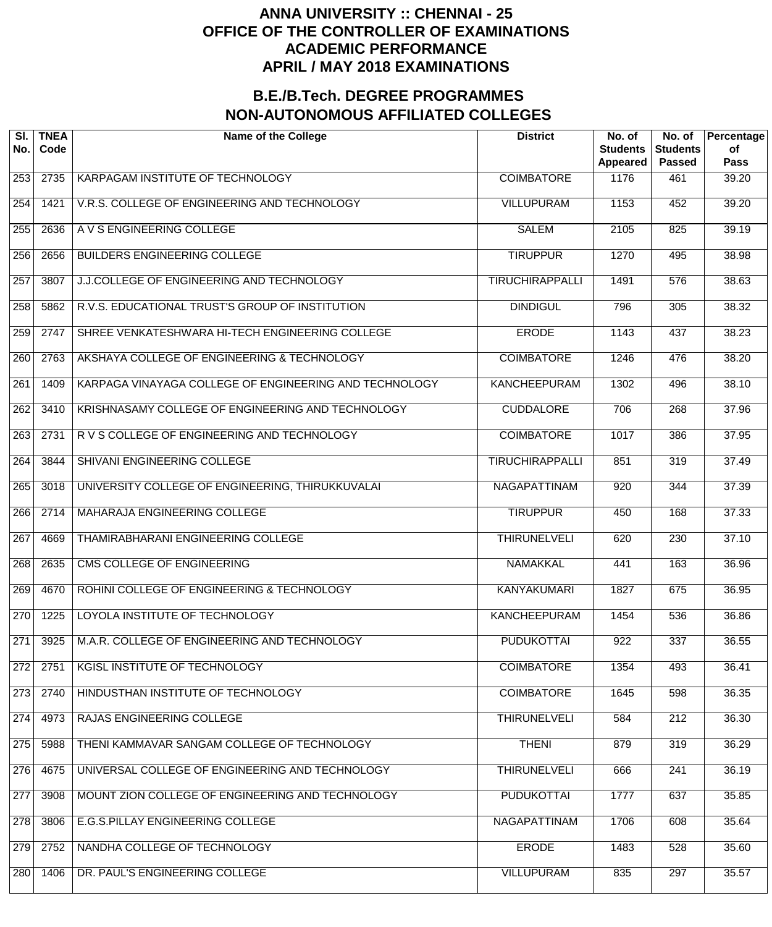| SI.<br>No.       | <b>TNEA</b><br>Code | <b>Name of the College</b>                             | <b>District</b>        | No. of<br><b>Students</b><br><b>Appeared</b> | No. of<br><b>Students</b><br><b>Passed</b> | Percentage<br>of<br><b>Pass</b> |
|------------------|---------------------|--------------------------------------------------------|------------------------|----------------------------------------------|--------------------------------------------|---------------------------------|
| 253              | 2735                | KARPAGAM INSTITUTE OF TECHNOLOGY                       | <b>COIMBATORE</b>      | 1176                                         | 461                                        | 39.20                           |
| 254              | 1421                | V.R.S. COLLEGE OF ENGINEERING AND TECHNOLOGY           | <b>VILLUPURAM</b>      | 1153                                         | 452                                        | 39.20                           |
| 255              | 2636                | A V S ENGINEERING COLLEGE                              | <b>SALEM</b>           | 2105                                         | 825                                        | 39.19                           |
| 256              | 2656                | <b>BUILDERS ENGINEERING COLLEGE</b>                    | <b>TIRUPPUR</b>        | 1270                                         | 495                                        | 38.98                           |
| $\overline{257}$ | 3807                | J.J.COLLEGE OF ENGINEERING AND TECHNOLOGY              | <b>TIRUCHIRAPPALLI</b> | 1491                                         | $\overline{576}$                           | 38.63                           |
| 258              | 5862                | R.V.S. EDUCATIONAL TRUST'S GROUP OF INSTITUTION        | <b>DINDIGUL</b>        | 796                                          | 305                                        | 38.32                           |
| 259              | 2747                | SHREE VENKATESHWARA HI-TECH ENGINEERING COLLEGE        | <b>ERODE</b>           | 1143                                         | 437                                        | 38.23                           |
| 260              | 2763                | AKSHAYA COLLEGE OF ENGINEERING & TECHNOLOGY            | <b>COIMBATORE</b>      | 1246                                         | 476                                        | 38.20                           |
| $\overline{261}$ | 1409                | KARPAGA VINAYAGA COLLEGE OF ENGINEERING AND TECHNOLOGY | <b>KANCHEEPURAM</b>    | 1302                                         | 496                                        | 38.10                           |
| 262              | 3410                | KRISHNASAMY COLLEGE OF ENGINEERING AND TECHNOLOGY      | <b>CUDDALORE</b>       | 706                                          | 268                                        | 37.96                           |
| $\overline{263}$ | 2731                | R V S COLLEGE OF ENGINEERING AND TECHNOLOGY            | <b>COIMBATORE</b>      | $\frac{1017}{2}$                             | 386                                        | 37.95                           |
| 264              | 3844                | SHIVANI ENGINEERING COLLEGE                            | <b>TIRUCHIRAPPALLI</b> | 851                                          | 319                                        | 37.49                           |
| 265              | 3018                | UNIVERSITY COLLEGE OF ENGINEERING, THIRUKKUVALAI       | <b>NAGAPATTINAM</b>    | 920                                          | 344                                        | 37.39                           |
| 266              | 2714                | MAHARAJA ENGINEERING COLLEGE                           | <b>TIRUPPUR</b>        | 450                                          | 168                                        | 37.33                           |
| $\overline{267}$ | 4669                | THAMIRABHARANI ENGINEERING COLLEGE                     | <b>THIRUNELVELI</b>    | 620                                          | $\overline{230}$                           | 37.10                           |
| 268              | 2635                | CMS COLLEGE OF ENGINEERING                             | <b>NAMAKKAL</b>        | 441                                          | 163                                        | 36.96                           |
| 269              | 4670                | ROHINI COLLEGE OF ENGINEERING & TECHNOLOGY             | <b>KANYAKUMARI</b>     | 1827                                         | 675                                        | 36.95                           |
| 270              | 1225                | LOYOLA INSTITUTE OF TECHNOLOGY                         | <b>KANCHEEPURAM</b>    | 1454                                         | 536                                        | 36.86                           |
| 271              | 3925                | M.A.R. COLLEGE OF ENGINEERING AND TECHNOLOGY           | <b>PUDUKOTTAI</b>      | 922                                          | 337                                        | 36.55                           |
| 272              | 2751                | KGISL INSTITUTE OF TECHNOLOGY                          | <b>COIMBATORE</b>      | 1354                                         | 493                                        | 36.41                           |
| 273              | 2740                | HINDUSTHAN INSTITUTE OF TECHNOLOGY                     | <b>COIMBATORE</b>      | 1645                                         | 598                                        | 36.35                           |
| 274              | 4973                | RAJAS ENGINEERING COLLEGE                              | <b>THIRUNELVELI</b>    | 584                                          | $\overline{212}$                           | 36.30                           |
| 275              | 5988                | THENI KAMMAVAR SANGAM COLLEGE OF TECHNOLOGY            | <b>THENI</b>           | 879                                          | 319                                        | 36.29                           |
| 276              | 4675                | UNIVERSAL COLLEGE OF ENGINEERING AND TECHNOLOGY        | <b>THIRUNELVELI</b>    | 666                                          | 241                                        | 36.19                           |
| 277              | 3908                | MOUNT ZION COLLEGE OF ENGINEERING AND TECHNOLOGY       | <b>PUDUKOTTAI</b>      | 1777                                         | 637                                        | 35.85                           |
| 278              | 3806                | E.G.S.PILLAY ENGINEERING COLLEGE                       | <b>NAGAPATTINAM</b>    | 1706                                         | 608                                        | 35.64                           |
| 279              | 2752                | NANDHA COLLEGE OF TECHNOLOGY                           | <b>ERODE</b>           | 1483                                         | 528                                        | 35.60                           |
| 280              | 1406                | DR. PAUL'S ENGINEERING COLLEGE                         | <b>VILLUPURAM</b>      | 835                                          | 297                                        | 35.57                           |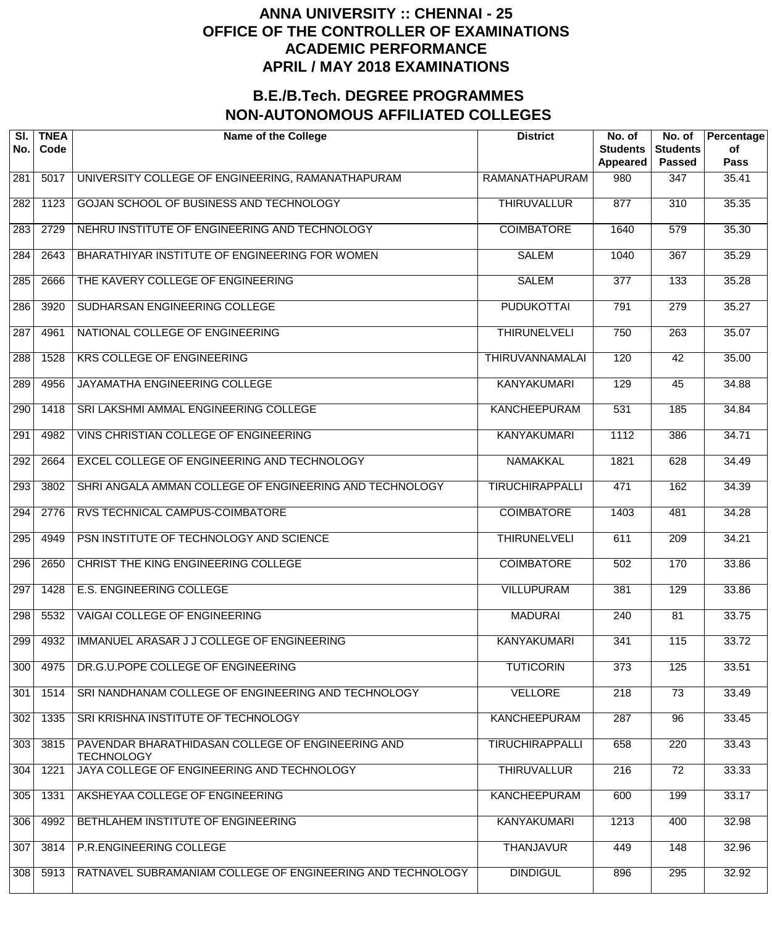| SI.<br>No.       | <b>TNEA</b><br>Code | <b>Name of the College</b>                                             | <b>District</b>        | No. of<br><b>Students</b><br>Appeared | No. of<br><b>Students</b><br><b>Passed</b> | Percentage<br>of<br><b>Pass</b> |
|------------------|---------------------|------------------------------------------------------------------------|------------------------|---------------------------------------|--------------------------------------------|---------------------------------|
| 281              | 5017                | UNIVERSITY COLLEGE OF ENGINEERING, RAMANATHAPURAM                      | RAMANATHAPURAM         | 980                                   | 347                                        | 35.41                           |
| 282              | 1123                | GOJAN SCHOOL OF BUSINESS AND TECHNOLOGY                                | <b>THIRUVALLUR</b>     | 877                                   | $\overline{310}$                           | 35.35                           |
| 283              | 2729                | NEHRU INSTITUTE OF ENGINEERING AND TECHNOLOGY                          | <b>COIMBATORE</b>      | 1640                                  | $\overline{579}$                           | 35.30                           |
| 284              | 2643                | BHARATHIYAR INSTITUTE OF ENGINEERING FOR WOMEN                         | <b>SALEM</b>           | 1040                                  | 367                                        | 35.29                           |
| 285              | 2666                | THE KAVERY COLLEGE OF ENGINEERING                                      | <b>SALEM</b>           | $\overline{377}$                      | 133                                        | 35.28                           |
| 286              | 3920                | SUDHARSAN ENGINEERING COLLEGE                                          | <b>PUDUKOTTAI</b>      | 791                                   | $\overline{279}$                           | 35.27                           |
| $\overline{287}$ | 4961                | NATIONAL COLLEGE OF ENGINEERING                                        | <b>THIRUNELVELI</b>    | 750                                   | $\overline{263}$                           | 35.07                           |
| 288              | 1528                | <b>KRS COLLEGE OF ENGINEERING</b>                                      | <b>THIRUVANNAMALAI</b> | 120                                   | $\overline{42}$                            | 35.00                           |
| 289              | 4956                | JAYAMATHA ENGINEERING COLLEGE                                          | <b>KANYAKUMARI</b>     | 129                                   | $\overline{45}$                            | 34.88                           |
| 290              | 1418                | SRI LAKSHMI AMMAL ENGINEERING COLLEGE                                  | <b>KANCHEEPURAM</b>    | 531                                   | 185                                        | 34.84                           |
| $\overline{291}$ | 4982                | VINS CHRISTIAN COLLEGE OF ENGINEERING                                  | <b>KANYAKUMARI</b>     | 1112                                  | 386                                        | 34.71                           |
| 292              | 2664                | EXCEL COLLEGE OF ENGINEERING AND TECHNOLOGY                            | <b>NAMAKKAL</b>        | 1821                                  | 628                                        | 34.49                           |
| 293              | 3802                | SHRI ANGALA AMMAN COLLEGE OF ENGINEERING AND TECHNOLOGY                | <b>TIRUCHIRAPPALLI</b> | 471                                   | 162                                        | 34.39                           |
| 294              | 2776                | RVS TECHNICAL CAMPUS-COIMBATORE                                        | <b>COIMBATORE</b>      | 1403                                  | 481                                        | 34.28                           |
| 295              | 4949                | PSN INSTITUTE OF TECHNOLOGY AND SCIENCE                                | <b>THIRUNELVELI</b>    | 611                                   | $\overline{209}$                           | 34.21                           |
| 296              | 2650                | CHRIST THE KING ENGINEERING COLLEGE                                    | <b>COIMBATORE</b>      | 502                                   | 170                                        | 33.86                           |
| 297              | 1428                | <b>E.S. ENGINEERING COLLEGE</b>                                        | <b>VILLUPURAM</b>      | 381                                   | 129                                        | 33.86                           |
| 298              | 5532                | <b>VAIGAI COLLEGE OF ENGINEERING</b>                                   | <b>MADURAI</b>         | $\overline{240}$                      | 81                                         | 33.75                           |
| 299              | 4932                | IMMANUEL ARASAR J J COLLEGE OF ENGINEERING                             | <b>KANYAKUMARI</b>     | 341                                   | 115                                        | 33.72                           |
| 300              | 4975                | DR.G.U.POPE COLLEGE OF ENGINEERING                                     | <b>TUTICORIN</b>       | 373                                   | 125                                        | 33.51                           |
| 301              | 1514                | SRI NANDHANAM COLLEGE OF ENGINEERING AND TECHNOLOGY                    | <b>VELLORE</b>         | $\overline{218}$                      | $\overline{73}$                            | 33.49                           |
| 302              | 1335                | SRI KRISHNA INSTITUTE OF TECHNOLOGY                                    | <b>KANCHEEPURAM</b>    | $\overline{287}$                      | $\overline{96}$                            | 33.45                           |
| 303              | 3815                | PAVENDAR BHARATHIDASAN COLLEGE OF ENGINEERING AND<br><b>TECHNOLOGY</b> | <b>TIRUCHIRAPPALLI</b> | 658                                   | $\overline{220}$                           | 33.43                           |
| 304              | 1221                | JAYA COLLEGE OF ENGINEERING AND TECHNOLOGY                             | <b>THIRUVALLUR</b>     | 216                                   | $\overline{72}$                            | 33.33                           |
| 305              | 1331                | AKSHEYAA COLLEGE OF ENGINEERING                                        | <b>KANCHEEPURAM</b>    | 600                                   | 199                                        | 33.17                           |
| 306              | 4992                | BETHLAHEM INSTITUTE OF ENGINEERING                                     | <b>KANYAKUMARI</b>     | 1213                                  | 400                                        | 32.98                           |
| 307              | 3814                | P.R.ENGINEERING COLLEGE                                                | <b>THANJAVUR</b>       | 449                                   | 148                                        | 32.96                           |
| 308              | 5913                | RATNAVEL SUBRAMANIAM COLLEGE OF ENGINEERING AND TECHNOLOGY             | <b>DINDIGUL</b>        | 896                                   | 295                                        | 32.92                           |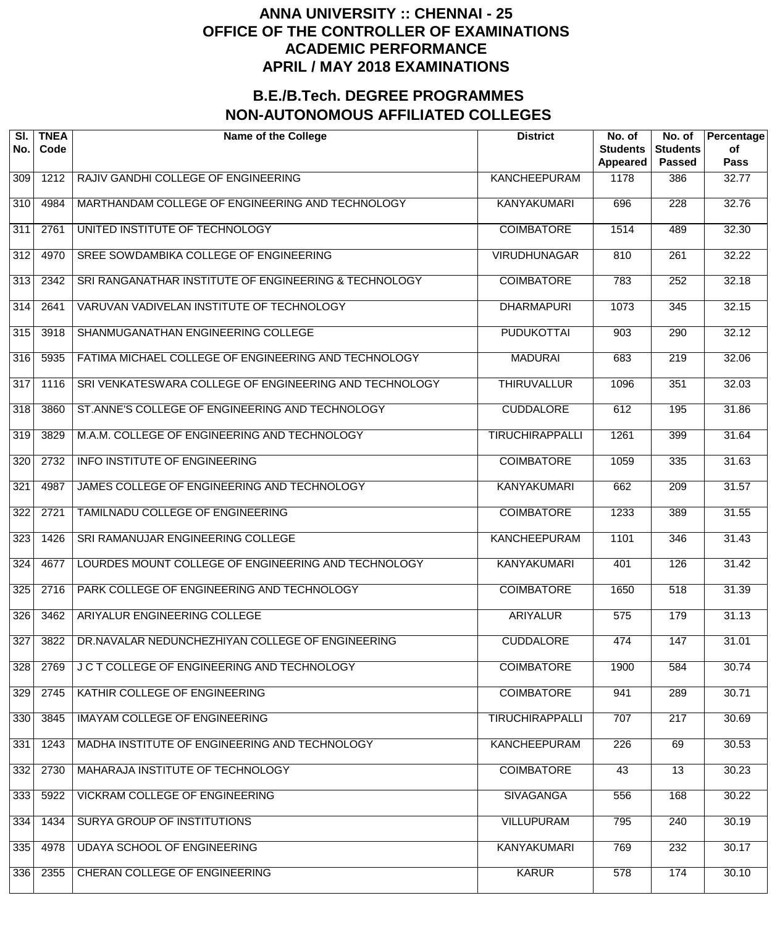| SI.<br>No.       | <b>TNEA</b><br>Code | <b>Name of the College</b>                             | <b>District</b>        | No. of<br><b>Students</b><br>Appeared | No. of<br><b>Students</b><br><b>Passed</b> | Percentage<br>of<br><b>Pass</b> |
|------------------|---------------------|--------------------------------------------------------|------------------------|---------------------------------------|--------------------------------------------|---------------------------------|
| 309              | 1212                | RAJIV GANDHI COLLEGE OF ENGINEERING                    | <b>KANCHEEPURAM</b>    | 1178                                  | 386                                        | 32.77                           |
| 310              | 4984                | MARTHANDAM COLLEGE OF ENGINEERING AND TECHNOLOGY       | <b>KANYAKUMARI</b>     | 696                                   | $\overline{228}$                           | 32.76                           |
| 311              | 2761                | UNITED INSTITUTE OF TECHNOLOGY                         | <b>COIMBATORE</b>      | 1514                                  | 489                                        | 32.30                           |
| $\overline{312}$ | 4970                | SREE SOWDAMBIKA COLLEGE OF ENGINEERING                 | <b>VIRUDHUNAGAR</b>    | 810                                   | $\overline{261}$                           | 32.22                           |
| $\overline{313}$ | 2342                | SRI RANGANATHAR INSTITUTE OF ENGINEERING & TECHNOLOGY  | <b>COIMBATORE</b>      | 783                                   | 252                                        | 32.18                           |
| 314              | 2641                | VARUVAN VADIVELAN INSTITUTE OF TECHNOLOGY              | <b>DHARMAPURI</b>      | 1073                                  | 345                                        | 32.15                           |
| 315              | 3918                | SHANMUGANATHAN ENGINEERING COLLEGE                     | <b>PUDUKOTTAI</b>      | 903                                   | 290                                        | 32.12                           |
| 316              | 5935                | FATIMA MICHAEL COLLEGE OF ENGINEERING AND TECHNOLOGY   | <b>MADURAI</b>         | 683                                   | $\overline{219}$                           | 32.06                           |
| 317              | 1116                | SRI VENKATESWARA COLLEGE OF ENGINEERING AND TECHNOLOGY | <b>THIRUVALLUR</b>     | 1096                                  | 351                                        | 32.03                           |
| $\overline{318}$ | 3860                | ST.ANNE'S COLLEGE OF ENGINEERING AND TECHNOLOGY        | <b>CUDDALORE</b>       | 612                                   | 195                                        | 31.86                           |
| 319              | 3829                | M.A.M. COLLEGE OF ENGINEERING AND TECHNOLOGY           | <b>TIRUCHIRAPPALLI</b> | 1261                                  | 399                                        | 31.64                           |
| 320              | 2732                | <b>INFO INSTITUTE OF ENGINEERING</b>                   | <b>COIMBATORE</b>      | 1059                                  | 335                                        | 31.63                           |
| 321              | 4987                | JAMES COLLEGE OF ENGINEERING AND TECHNOLOGY            | <b>KANYAKUMARI</b>     | 662                                   | $\overline{209}$                           | 31.57                           |
| 322              | 2721                | TAMILNADU COLLEGE OF ENGINEERING                       | <b>COIMBATORE</b>      | 1233                                  | 389                                        | 31.55                           |
| 323              | 1426                | SRI RAMANUJAR ENGINEERING COLLEGE                      | <b>KANCHEEPURAM</b>    | 1101                                  | 346                                        | 31.43                           |
| 324              | 4677                | LOURDES MOUNT COLLEGE OF ENGINEERING AND TECHNOLOGY    | <b>KANYAKUMARI</b>     | 401                                   | 126                                        | 31.42                           |
| 325              | 2716                | PARK COLLEGE OF ENGINEERING AND TECHNOLOGY             | <b>COIMBATORE</b>      | 1650                                  | 518                                        | 31.39                           |
| 326              | 3462                | ARIYALUR ENGINEERING COLLEGE                           | <b>ARIYALUR</b>        | 575                                   | 179                                        | 31.13                           |
| 327              | 3822                | DR.NAVALAR NEDUNCHEZHIYAN COLLEGE OF ENGINEERING       | <b>CUDDALORE</b>       | 474                                   | 147                                        | 31.01                           |
| 328              | 2769                | J C T COLLEGE OF ENGINEERING AND TECHNOLOGY            | <b>COIMBATORE</b>      | 1900                                  | 584                                        | 30.74                           |
| 329              | 2745                | KATHIR COLLEGE OF ENGINEERING                          | <b>COIMBATORE</b>      | 941                                   | 289                                        | 30.71                           |
| 330              | 3845                | <b>IMAYAM COLLEGE OF ENGINEERING</b>                   | <b>TIRUCHIRAPPALLI</b> | 707                                   | $\overline{217}$                           | 30.69                           |
| 331              | 1243                | MADHA INSTITUTE OF ENGINEERING AND TECHNOLOGY          | <b>KANCHEEPURAM</b>    | 226                                   | 69                                         | 30.53                           |
| 332              | 2730                | MAHARAJA INSTITUTE OF TECHNOLOGY                       | <b>COIMBATORE</b>      | 43                                    | $\overline{13}$                            | 30.23                           |
| 333              | 5922                | <b>VICKRAM COLLEGE OF ENGINEERING</b>                  | <b>SIVAGANGA</b>       | 556                                   | 168                                        | 30.22                           |
| 334              | 1434                | <b>SURYA GROUP OF INSTITUTIONS</b>                     | <b>VILLUPURAM</b>      | 795                                   | $\overline{240}$                           | 30.19                           |
| 335              | 4978                | <b>UDAYA SCHOOL OF ENGINEERING</b>                     | <b>KANYAKUMARI</b>     | 769                                   | 232                                        | 30.17                           |
| 336              | 2355                | CHERAN COLLEGE OF ENGINEERING                          | <b>KARUR</b>           | 578                                   | 174                                        | 30.10                           |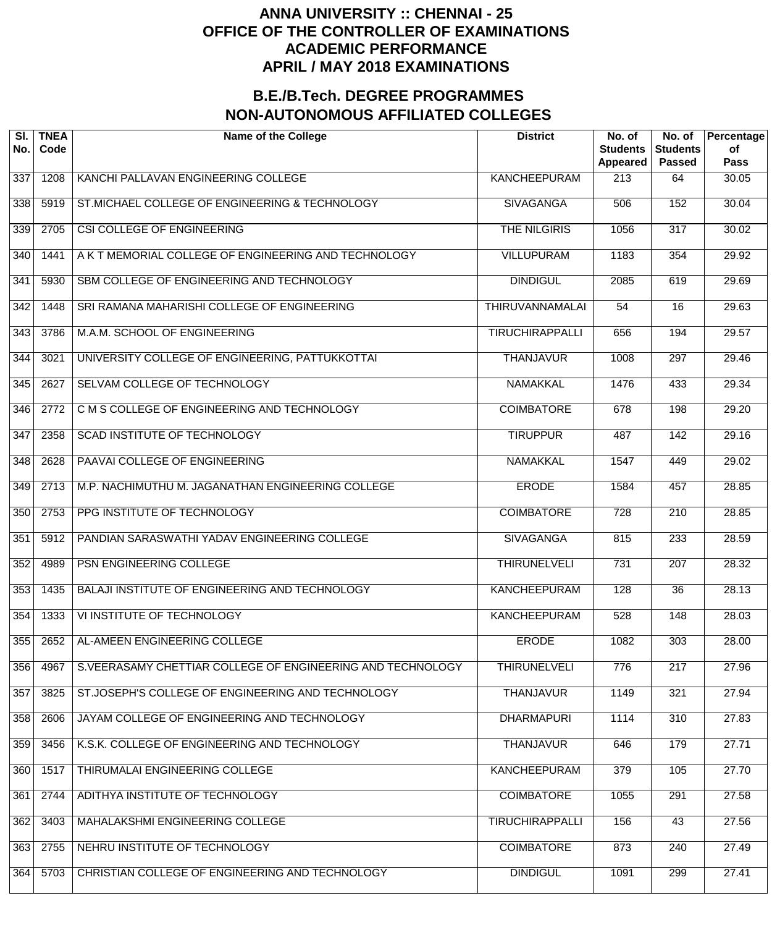| SI.<br>No. | <b>TNEA</b><br>Code | <b>Name of the College</b>                                 | <b>District</b>        | No. of<br><b>Students</b><br>Appeared | No. of<br><b>Students</b><br><b>Passed</b> | Percentage<br>of<br>Pass |
|------------|---------------------|------------------------------------------------------------|------------------------|---------------------------------------|--------------------------------------------|--------------------------|
| 337        | 1208                | KANCHI PALLAVAN ENGINEERING COLLEGE                        | <b>KANCHEEPURAM</b>    | 213                                   | 64                                         | 30.05                    |
| 338        | 5919                | ST.MICHAEL COLLEGE OF ENGINEERING & TECHNOLOGY             | <b>SIVAGANGA</b>       | 506                                   | 152                                        | 30.04                    |
| 339        | 2705                | CSI COLLEGE OF ENGINEERING                                 | THE NILGIRIS           | 1056                                  | $\overline{317}$                           | 30.02                    |
| 340        | 1441                | A K T MEMORIAL COLLEGE OF ENGINEERING AND TECHNOLOGY       | <b>VILLUPURAM</b>      | 1183                                  | 354                                        | 29.92                    |
| 341        | 5930                | SBM COLLEGE OF ENGINEERING AND TECHNOLOGY                  | <b>DINDIGUL</b>        | 2085                                  | 619                                        | 29.69                    |
| 342        | 1448                | SRI RAMANA MAHARISHI COLLEGE OF ENGINEERING                | <b>THIRUVANNAMALAI</b> | 54                                    | 16                                         | 29.63                    |
| 343        | 3786                | M.A.M. SCHOOL OF ENGINEERING                               | <b>TIRUCHIRAPPALLI</b> | 656                                   | 194                                        | 29.57                    |
| 344        | 3021                | UNIVERSITY COLLEGE OF ENGINEERING, PATTUKKOTTAI            | <b>THANJAVUR</b>       | 1008                                  | 297                                        | 29.46                    |
| 345        | 2627                | SELVAM COLLEGE OF TECHNOLOGY                               | NAMAKKAL               | 1476                                  | 433                                        | 29.34                    |
| 346        | 2772                | C M S COLLEGE OF ENGINEERING AND TECHNOLOGY                | <b>COIMBATORE</b>      | 678                                   | 198                                        | $\overline{29.20}$       |
| 347        | 2358                | SCAD INSTITUTE OF TECHNOLOGY                               | <b>TIRUPPUR</b>        | 487                                   | 142                                        | 29.16                    |
| 348        | 2628                | PAAVAI COLLEGE OF ENGINEERING                              | <b>NAMAKKAL</b>        | 1547                                  | 449                                        | 29.02                    |
| 349        | 2713                | M.P. NACHIMUTHU M. JAGANATHAN ENGINEERING COLLEGE          | <b>ERODE</b>           | 1584                                  | 457                                        | 28.85                    |
| 350        | 2753                | PPG INSTITUTE OF TECHNOLOGY                                | <b>COIMBATORE</b>      | 728                                   | $\overline{210}$                           | 28.85                    |
| 351        | 5912                | PANDIAN SARASWATHI YADAV ENGINEERING COLLEGE               | <b>SIVAGANGA</b>       | 815                                   | 233                                        | 28.59                    |
| 352        | 4989                | PSN ENGINEERING COLLEGE                                    | <b>THIRUNELVELI</b>    | 731                                   | 207                                        | 28.32                    |
| 353        | 1435                | BALAJI INSTITUTE OF ENGINEERING AND TECHNOLOGY             | <b>KANCHEEPURAM</b>    | 128                                   | $\overline{36}$                            | 28.13                    |
| 354        | 1333                | VI INSTITUTE OF TECHNOLOGY                                 | <b>KANCHEEPURAM</b>    | 528                                   | 148                                        | 28.03                    |
| 355        | 2652                | AL-AMEEN ENGINEERING COLLEGE                               | <b>ERODE</b>           | 1082                                  | 303                                        | 28.00                    |
| 356        | 4967                | S.VEERASAMY CHETTIAR COLLEGE OF ENGINEERING AND TECHNOLOGY | <b>THIRUNELVELI</b>    | 776                                   | 217                                        | 27.96                    |
| 357        | 3825                | ST.JOSEPH'S COLLEGE OF ENGINEERING AND TECHNOLOGY          | <b>THANJAVUR</b>       | 1149                                  | 321                                        | 27.94                    |
| 358        | 2606                | JAYAM COLLEGE OF ENGINEERING AND TECHNOLOGY                | <b>DHARMAPURI</b>      | 1114                                  | 310                                        | 27.83                    |
| 359        | 3456                | K.S.K. COLLEGE OF ENGINEERING AND TECHNOLOGY               | <b>THANJAVUR</b>       | 646                                   | 179                                        | 27.71                    |
| 360        | 1517                | THIRUMALAI ENGINEERING COLLEGE                             | <b>KANCHEEPURAM</b>    | 379                                   | 105                                        | 27.70                    |
| 361        | 2744                | ADITHYA INSTITUTE OF TECHNOLOGY                            | <b>COIMBATORE</b>      | 1055                                  | 291                                        | 27.58                    |
| 362        | 3403                | MAHALAKSHMI ENGINEERING COLLEGE                            | <b>TIRUCHIRAPPALLI</b> | 156                                   | 43                                         | 27.56                    |
| 363        | 2755                | NEHRU INSTITUTE OF TECHNOLOGY                              | <b>COIMBATORE</b>      | 873                                   | 240                                        | 27.49                    |
| 364        | 5703                | CHRISTIAN COLLEGE OF ENGINEERING AND TECHNOLOGY            | <b>DINDIGUL</b>        | 1091                                  | 299                                        | 27.41                    |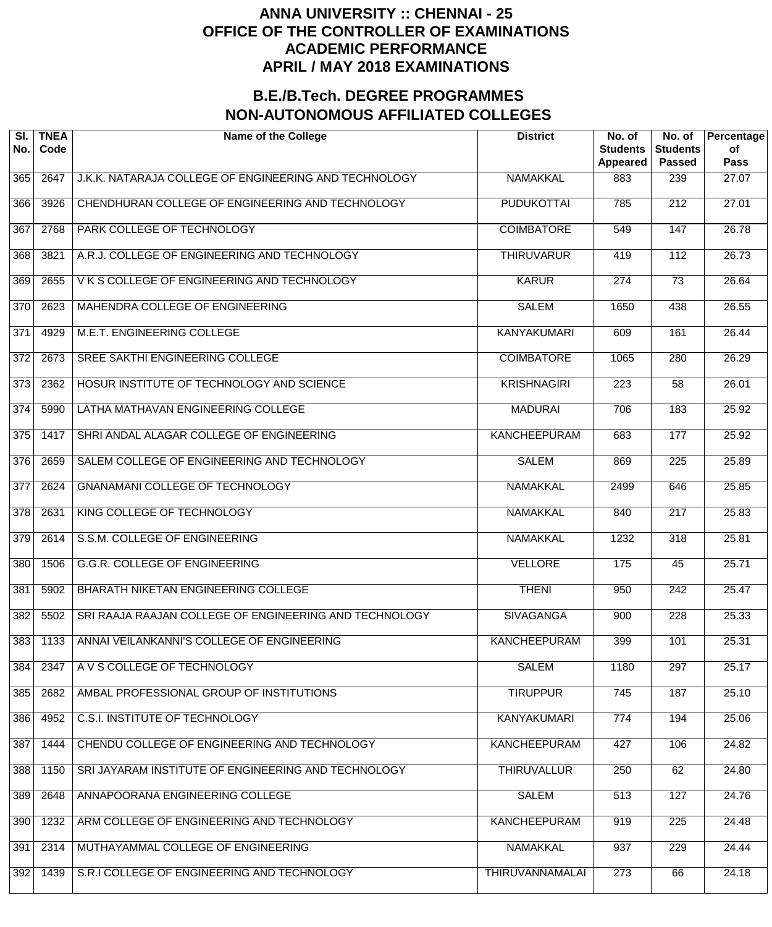| SI.<br>No.       | <b>TNEA</b><br>Code | <b>Name of the College</b>                             | <b>District</b>        | No. of<br><b>Students</b><br>Appeared | No. of<br><b>Students</b><br><b>Passed</b> | Percentage<br>of<br><b>Pass</b> |
|------------------|---------------------|--------------------------------------------------------|------------------------|---------------------------------------|--------------------------------------------|---------------------------------|
| 365              | 2647                | J.K.K. NATARAJA COLLEGE OF ENGINEERING AND TECHNOLOGY  | <b>NAMAKKAL</b>        | 883                                   | 239                                        | 27.07                           |
| 366              | 3926                | CHENDHURAN COLLEGE OF ENGINEERING AND TECHNOLOGY       | <b>PUDUKOTTAI</b>      | 785                                   | $\overline{212}$                           | 27.01                           |
| 367              | 2768                | PARK COLLEGE OF TECHNOLOGY                             | <b>COIMBATORE</b>      | 549                                   | 147                                        | 26.78                           |
| 368              | 3821                | A.R.J. COLLEGE OF ENGINEERING AND TECHNOLOGY           | <b>THIRUVARUR</b>      | 419                                   | $\overline{112}$                           | 26.73                           |
| 369              | 2655                | V K S COLLEGE OF ENGINEERING AND TECHNOLOGY            | <b>KARUR</b>           | $\overline{274}$                      | $\overline{73}$                            | 26.64                           |
| $\overline{370}$ | 2623                | MAHENDRA COLLEGE OF ENGINEERING                        | <b>SALEM</b>           | 1650                                  | 438                                        | 26.55                           |
| $\overline{371}$ | 4929                | M.E.T. ENGINEERING COLLEGE                             | <b>KANYAKUMARI</b>     | 609                                   | 161                                        | 26.44                           |
| $\overline{372}$ | 2673                | SREE SAKTHI ENGINEERING COLLEGE                        | <b>COIMBATORE</b>      | 1065                                  | 280                                        | 26.29                           |
| $\overline{373}$ | 2362                | HOSUR INSTITUTE OF TECHNOLOGY AND SCIENCE              | <b>KRISHNAGIRI</b>     | $\overline{223}$                      | $\overline{58}$                            | 26.01                           |
| $\overline{374}$ | 5990                | LATHA MATHAVAN ENGINEERING COLLEGE                     | <b>MADURAI</b>         | 706                                   | 183                                        | 25.92                           |
| $\overline{375}$ | 1417                | SHRI ANDAL ALAGAR COLLEGE OF ENGINEERING               | <b>KANCHEEPURAM</b>    | 683                                   | 177                                        | 25.92                           |
| $\overline{376}$ | 2659                | SALEM COLLEGE OF ENGINEERING AND TECHNOLOGY            | <b>SALEM</b>           | 869                                   | $\overline{225}$                           | 25.89                           |
| $\overline{377}$ | 2624                | <b>GNANAMANI COLLEGE OF TECHNOLOGY</b>                 | <b>NAMAKKAL</b>        | 2499                                  | 646                                        | 25.85                           |
| $\overline{378}$ | 2631                | KING COLLEGE OF TECHNOLOGY                             | <b>NAMAKKAL</b>        | 840                                   | $\overline{217}$                           | 25.83                           |
| 379              | 2614                | S.S.M. COLLEGE OF ENGINEERING                          | <b>NAMAKKAL</b>        | 1232                                  | $\overline{318}$                           | 25.81                           |
| 380              | 1506                | <b>G.G.R. COLLEGE OF ENGINEERING</b>                   | <b>VELLORE</b>         | 175                                   | 45                                         | 25.71                           |
| 381              | 5902                | BHARATH NIKETAN ENGINEERING COLLEGE                    | <b>THENI</b>           | 950                                   | $\overline{242}$                           | 25.47                           |
| 382              | 5502                | SRI RAAJA RAAJAN COLLEGE OF ENGINEERING AND TECHNOLOGY | <b>SIVAGANGA</b>       | 900                                   | 228                                        | 25.33                           |
| 383              | 1133                | ANNAI VEILANKANNI'S COLLEGE OF ENGINEERING             | <b>KANCHEEPURAM</b>    | 399                                   | 101                                        | 25.31                           |
| 384              | 2347                | A V S COLLEGE OF TECHNOLOGY                            | <b>SALEM</b>           | 1180                                  | 297                                        | 25.17                           |
| 385              | 2682                | AMBAL PROFESSIONAL GROUP OF INSTITUTIONS               | <b>TIRUPPUR</b>        | 745                                   | 187                                        | 25.10                           |
| 386              | 4952                | <b>C.S.I. INSTITUTE OF TECHNOLOGY</b>                  | <b>KANYAKUMARI</b>     | 774                                   | 194                                        | 25.06                           |
| 387              | 1444                | CHENDU COLLEGE OF ENGINEERING AND TECHNOLOGY           | <b>KANCHEEPURAM</b>    | 427                                   | 106                                        | 24.82                           |
| 388              | 1150                | SRI JAYARAM INSTITUTE OF ENGINEERING AND TECHNOLOGY    | <b>THIRUVALLUR</b>     | 250                                   | 62                                         | 24.80                           |
| 389              | 2648                | ANNAPOORANA ENGINEERING COLLEGE                        | <b>SALEM</b>           | 513                                   | 127                                        | 24.76                           |
| 390              | 1232                | ARM COLLEGE OF ENGINEERING AND TECHNOLOGY              | <b>KANCHEEPURAM</b>    | 919                                   | $\overline{225}$                           | 24.48                           |
| 391              | 2314                | MUTHAYAMMAL COLLEGE OF ENGINEERING                     | <b>NAMAKKAL</b>        | 937                                   | 229                                        | 24.44                           |
| 392              | 1439                | S.R.I COLLEGE OF ENGINEERING AND TECHNOLOGY            | <b>THIRUVANNAMALAI</b> | 273                                   | 66                                         | 24.18                           |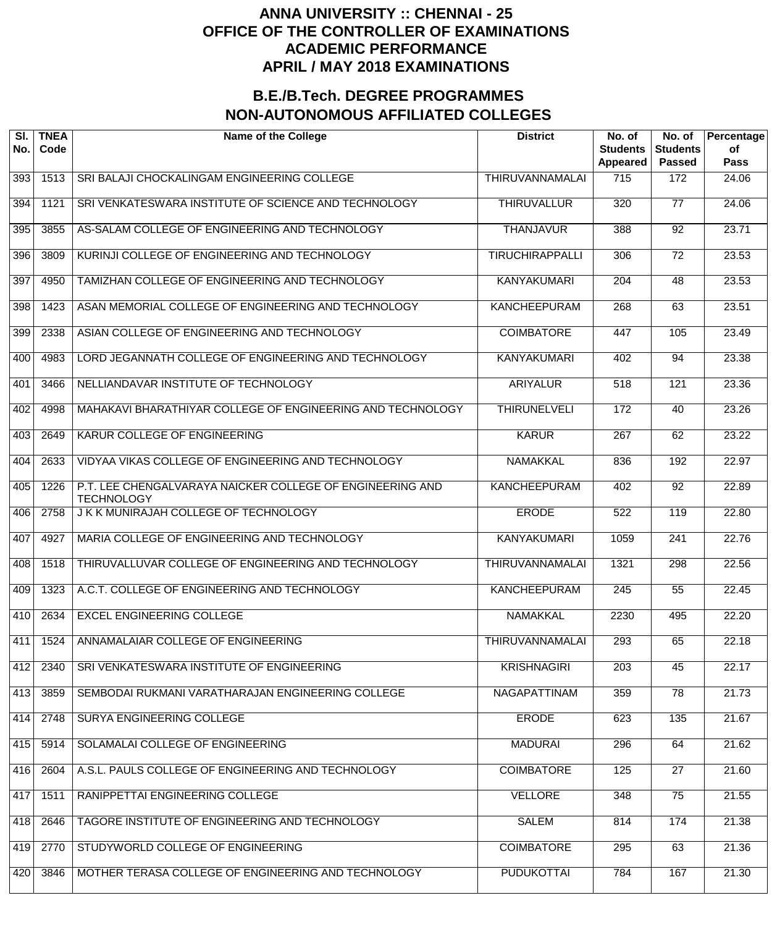| SI.<br>No.      | <b>TNEA</b><br>Code | <b>Name of the College</b>                                                     | <b>District</b>        | No. of<br><b>Students</b><br>Appeared | No. of<br><b>Students</b><br><b>Passed</b> | Percentage<br>of<br>Pass |
|-----------------|---------------------|--------------------------------------------------------------------------------|------------------------|---------------------------------------|--------------------------------------------|--------------------------|
| 393             | 1513                | SRI BALAJI CHOCKALINGAM ENGINEERING COLLEGE                                    | THIRUVANNAMALAI        | 715                                   | 172                                        | 24.06                    |
| 394             | 1121                | SRI VENKATESWARA INSTITUTE OF SCIENCE AND TECHNOLOGY                           | <b>THIRUVALLUR</b>     | 320                                   | $\overline{77}$                            | $\overline{24.06}$       |
| 395             | 3855                | AS-SALAM COLLEGE OF ENGINEERING AND TECHNOLOGY                                 | <b>THANJAVUR</b>       | 388                                   | $\overline{92}$                            | $\overline{23.71}$       |
| 396             | 3809                | KURINJI COLLEGE OF ENGINEERING AND TECHNOLOGY                                  | <b>TIRUCHIRAPPALLI</b> | 306                                   | $\overline{72}$                            | 23.53                    |
| 397             | 4950                | TAMIZHAN COLLEGE OF ENGINEERING AND TECHNOLOGY                                 | <b>KANYAKUMARI</b>     | 204                                   | 48                                         | 23.53                    |
| 398             | 1423                | ASAN MEMORIAL COLLEGE OF ENGINEERING AND TECHNOLOGY                            | <b>KANCHEEPURAM</b>    | 268                                   | 63                                         | 23.51                    |
| 399             | 2338                | ASIAN COLLEGE OF ENGINEERING AND TECHNOLOGY                                    | <b>COIMBATORE</b>      | 447                                   | 105                                        | 23.49                    |
| 40 <sub>0</sub> | 4983                | LORD JEGANNATH COLLEGE OF ENGINEERING AND TECHNOLOGY                           | <b>KANYAKUMARI</b>     | 402                                   | 94                                         | 23.38                    |
| 401             | 3466                | NELLIANDAVAR INSTITUTE OF TECHNOLOGY                                           | <b>ARIYALUR</b>        | 518                                   | 121                                        | 23.36                    |
| 402             | 4998                | MAHAKAVI BHARATHIYAR COLLEGE OF ENGINEERING AND TECHNOLOGY                     | <b>THIRUNELVELI</b>    | 172                                   | 40                                         | 23.26                    |
| 403             | 2649                | KARUR COLLEGE OF ENGINEERING                                                   | <b>KARUR</b>           | 267                                   | 62                                         | 23.22                    |
| 404             | 2633                | VIDYAA VIKAS COLLEGE OF ENGINEERING AND TECHNOLOGY                             | <b>NAMAKKAL</b>        | 836                                   | 192                                        | 22.97                    |
| 405             | 1226                | P.T. LEE CHENGALVARAYA NAICKER COLLEGE OF ENGINEERING AND<br><b>TECHNOLOGY</b> | <b>KANCHEEPURAM</b>    | 402                                   | 92                                         | 22.89                    |
| 406             | 2758                | J K K MUNIRAJAH COLLEGE OF TECHNOLOGY                                          | <b>ERODE</b>           | 522                                   | 119                                        | 22.80                    |
| 407             | 4927                | MARIA COLLEGE OF ENGINEERING AND TECHNOLOGY                                    | <b>KANYAKUMARI</b>     | 1059                                  | $\overline{241}$                           | 22.76                    |
| 408             | 1518                | THIRUVALLUVAR COLLEGE OF ENGINEERING AND TECHNOLOGY                            | <b>THIRUVANNAMALAI</b> | 1321                                  | 298                                        | 22.56                    |
| 409             | 1323                | A.C.T. COLLEGE OF ENGINEERING AND TECHNOLOGY                                   | <b>KANCHEEPURAM</b>    | $\overline{245}$                      | $\overline{55}$                            | 22.45                    |
| 410             | 2634                | <b>EXCEL ENGINEERING COLLEGE</b>                                               | <b>NAMAKKAL</b>        | 2230                                  | 495                                        | 22.20                    |
| 411             | 1524                | ANNAMALAIAR COLLEGE OF ENGINEERING                                             | <b>THIRUVANNAMALAI</b> | 293                                   | 65                                         | 22.18                    |
| 412             | 2340                | SRI VENKATESWARA INSTITUTE OF ENGINEERING                                      | <b>KRISHNAGIRI</b>     | 203                                   | 45                                         | 22.17                    |
| 413             | 3859                | SEMBODAI RUKMANI VARATHARAJAN ENGINEERING COLLEGE                              | <b>NAGAPATTINAM</b>    | 359                                   | $\overline{78}$                            | 21.73                    |
| 414             | 2748                | SURYA ENGINEERING COLLEGE                                                      | <b>ERODE</b>           | 623                                   | 135                                        | 21.67                    |
| 415             | 5914                | SOLAMALAI COLLEGE OF ENGINEERING                                               | <b>MADURAI</b>         | 296                                   | 64                                         | 21.62                    |
| 416             | 2604                | A.S.L. PAULS COLLEGE OF ENGINEERING AND TECHNOLOGY                             | <b>COIMBATORE</b>      | 125                                   | $\overline{27}$                            | 21.60                    |
| 417             | 1511                | RANIPPETTAI ENGINEERING COLLEGE                                                | <b>VELLORE</b>         | 348                                   | $\overline{75}$                            | 21.55                    |
| 418             | 2646                | TAGORE INSTITUTE OF ENGINEERING AND TECHNOLOGY                                 | <b>SALEM</b>           | 814                                   | 174                                        | 21.38                    |
| 419             | 2770                | STUDYWORLD COLLEGE OF ENGINEERING                                              | <b>COIMBATORE</b>      | 295                                   | 63                                         | 21.36                    |
| 420             | 3846                | MOTHER TERASA COLLEGE OF ENGINEERING AND TECHNOLOGY                            | <b>PUDUKOTTAI</b>      | 784                                   | 167                                        | 21.30                    |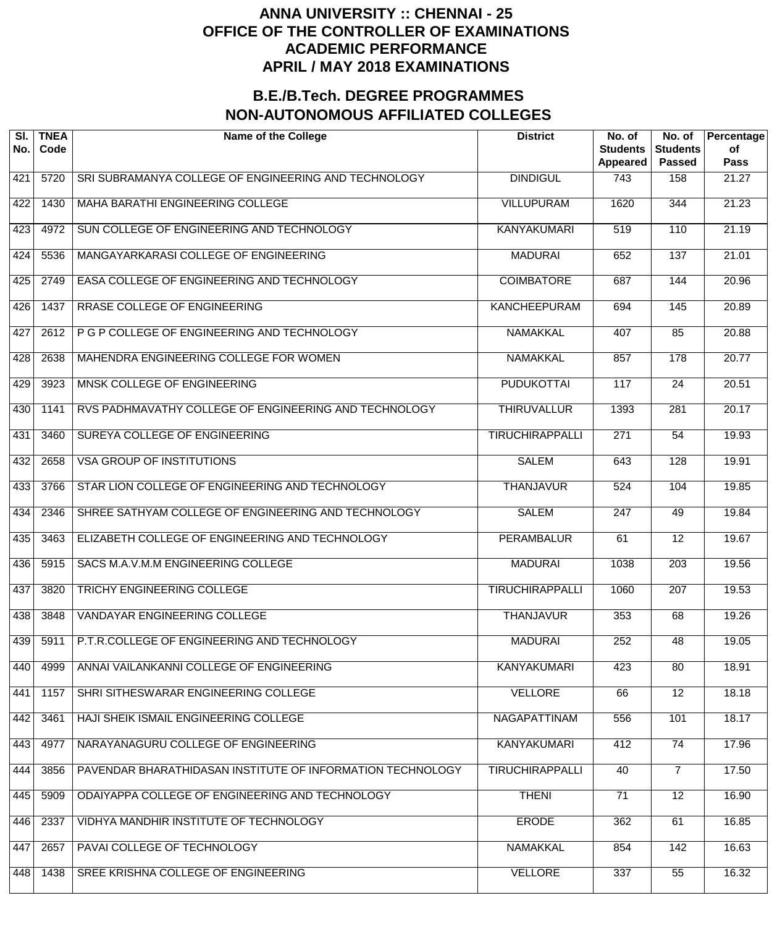| SI.<br>No. | <b>TNEA</b><br>Code | <b>Name of the College</b>                                 | <b>District</b>        | No. of<br><b>Students</b><br>Appeared | $\overline{N}$ o. of<br><b>Students</b><br><b>Passed</b> | Percentage<br>of<br><b>Pass</b> |
|------------|---------------------|------------------------------------------------------------|------------------------|---------------------------------------|----------------------------------------------------------|---------------------------------|
| 421        | 5720                | SRI SUBRAMANYA COLLEGE OF ENGINEERING AND TECHNOLOGY       | <b>DINDIGUL</b>        | 743                                   | 158                                                      | 21.27                           |
| 422        | 1430                | MAHA BARATHI ENGINEERING COLLEGE                           | <b>VILLUPURAM</b>      | 1620                                  | 344                                                      | 21.23                           |
| 423        | 4972                | SUN COLLEGE OF ENGINEERING AND TECHNOLOGY                  | <b>KANYAKUMARI</b>     | 519                                   | 110                                                      | 21.19                           |
| 424        | 5536                | MANGAYARKARASI COLLEGE OF ENGINEERING                      | <b>MADURAI</b>         | 652                                   | 137                                                      | 21.01                           |
| 425        | 2749                | EASA COLLEGE OF ENGINEERING AND TECHNOLOGY                 | <b>COIMBATORE</b>      | 687                                   | 144                                                      | 20.96                           |
| 426        | 1437                | RRASE COLLEGE OF ENGINEERING                               | <b>KANCHEEPURAM</b>    | 694                                   | 145                                                      | 20.89                           |
| 427        | 2612                | P G P COLLEGE OF ENGINEERING AND TECHNOLOGY                | <b>NAMAKKAL</b>        | 407                                   | 85                                                       | 20.88                           |
| 428        | 2638                | MAHENDRA ENGINEERING COLLEGE FOR WOMEN                     | <b>NAMAKKAL</b>        | 857                                   | $\overline{178}$                                         | 20.77                           |
| 429        | 3923                | MNSK COLLEGE OF ENGINEERING                                | <b>PUDUKOTTAI</b>      | 117                                   | $\overline{24}$                                          | 20.51                           |
| 430        | 1141                | RVS PADHMAVATHY COLLEGE OF ENGINEERING AND TECHNOLOGY      | <b>THIRUVALLUR</b>     | 1393                                  | 281                                                      | 20.17                           |
| 431        | 3460                | SUREYA COLLEGE OF ENGINEERING                              | <b>TIRUCHIRAPPALLI</b> | $\overline{271}$                      | $\overline{54}$                                          | 19.93                           |
| 432        | 2658                | <b>VSA GROUP OF INSTITUTIONS</b>                           | <b>SALEM</b>           | 643                                   | $\overline{128}$                                         | 19.91                           |
| 433        | 3766                | STAR LION COLLEGE OF ENGINEERING AND TECHNOLOGY            | <b>THANJAVUR</b>       | 524                                   | 104                                                      | 19.85                           |
| 434        | 2346                | SHREE SATHYAM COLLEGE OF ENGINEERING AND TECHNOLOGY        | <b>SALEM</b>           | 247                                   | 49                                                       | 19.84                           |
| 435        | 3463                | ELIZABETH COLLEGE OF ENGINEERING AND TECHNOLOGY            | <b>PERAMBALUR</b>      | 61                                    | $\overline{12}$                                          | 19.67                           |
| 436        | 5915                | SACS M.A.V.M.M ENGINEERING COLLEGE                         | <b>MADURAI</b>         | 1038                                  | $\overline{203}$                                         | 19.56                           |
| 437        | 3820                | <b>TRICHY ENGINEERING COLLEGE</b>                          | <b>TIRUCHIRAPPALLI</b> | 1060                                  | $\overline{207}$                                         | 19.53                           |
| 438        | 3848                | <b>VANDAYAR ENGINEERING COLLEGE</b>                        | <b>THANJAVUR</b>       | 353                                   | 68                                                       | 19.26                           |
| 439        | 5911                | P.T.R.COLLEGE OF ENGINEERING AND TECHNOLOGY                | <b>MADURAI</b>         | 252                                   | $\overline{48}$                                          | 19.05                           |
| 440        | 4999                | ANNAI VAILANKANNI COLLEGE OF ENGINEERING                   | <b>KANYAKUMARI</b>     | 423                                   | 80                                                       | 18.91                           |
| 441        | 1157                | SHRI SITHESWARAR ENGINEERING COLLEGE                       | <b>VELLORE</b>         | 66                                    | $\overline{12}$                                          | 18.18                           |
| 442        | 3461                | HAJI SHEIK ISMAIL ENGINEERING COLLEGE                      | <b>NAGAPATTINAM</b>    | 556                                   | 101                                                      | 18.17                           |
| 443        | 4977                | NARAYANAGURU COLLEGE OF ENGINEERING                        | <b>KANYAKUMARI</b>     | 412                                   | $\overline{74}$                                          | 17.96                           |
| 444        | 3856                | PAVENDAR BHARATHIDASAN INSTITUTE OF INFORMATION TECHNOLOGY | <b>TIRUCHIRAPPALLI</b> | 40                                    | $\overline{7}$                                           | 17.50                           |
| 445        | 5909                | ODAIYAPPA COLLEGE OF ENGINEERING AND TECHNOLOGY            | <b>THENI</b>           | 71                                    | $\overline{12}$                                          | 16.90                           |
| 446        | 2337                | VIDHYA MANDHIR INSTITUTE OF TECHNOLOGY                     | <b>ERODE</b>           | 362                                   | 61                                                       | 16.85                           |
| 447        | 2657                | PAVAI COLLEGE OF TECHNOLOGY                                | <b>NAMAKKAL</b>        | 854                                   | 142                                                      | 16.63                           |
| 448        | 1438                | SREE KRISHNA COLLEGE OF ENGINEERING                        | <b>VELLORE</b>         | 337                                   | 55                                                       | 16.32                           |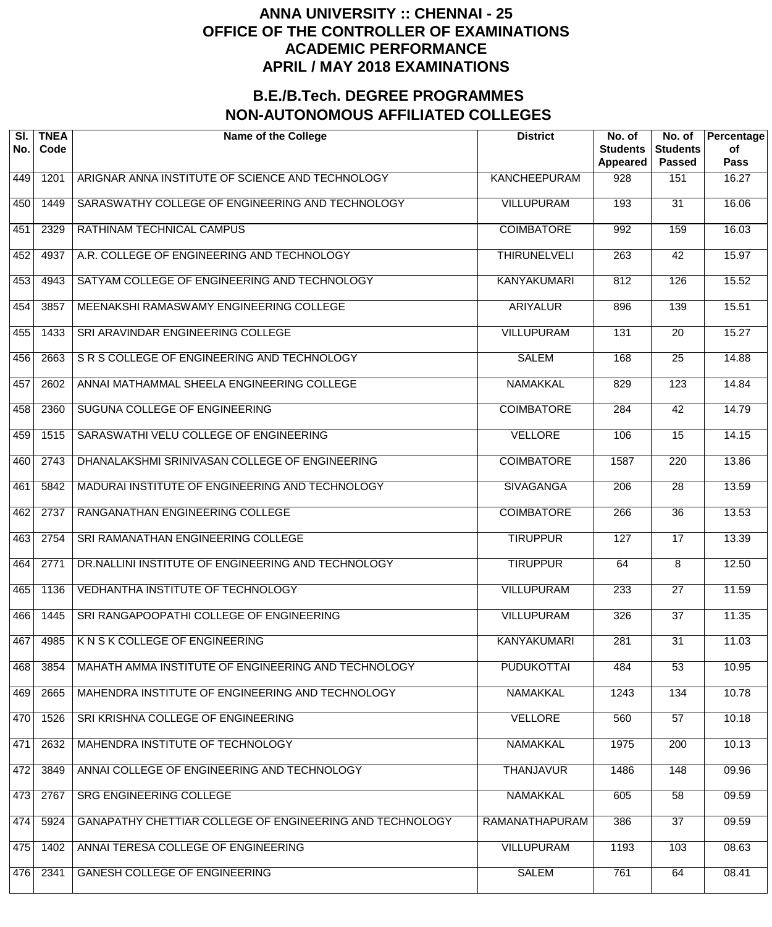| SI.<br>No. | <b>TNEA</b><br>Code | <b>Name of the College</b>                               | <b>District</b>     | No. of<br><b>Students</b><br>Appeared | No. of<br><b>Students</b><br><b>Passed</b> | Percentage<br>of<br><b>Pass</b> |
|------------|---------------------|----------------------------------------------------------|---------------------|---------------------------------------|--------------------------------------------|---------------------------------|
| 449        | 1201                | ARIGNAR ANNA INSTITUTE OF SCIENCE AND TECHNOLOGY         | <b>KANCHEEPURAM</b> | 928                                   | 151                                        | 16.27                           |
| 450        | 1449                | SARASWATHY COLLEGE OF ENGINEERING AND TECHNOLOGY         | <b>VILLUPURAM</b>   | 193                                   | $\overline{31}$                            | 16.06                           |
| 451        | 2329                | RATHINAM TECHNICAL CAMPUS                                | <b>COIMBATORE</b>   | 992                                   | 159                                        | 16.03                           |
| 452        | 4937                | A.R. COLLEGE OF ENGINEERING AND TECHNOLOGY               | <b>THIRUNELVELI</b> | $\overline{263}$                      | $\overline{42}$                            | 15.97                           |
| 453        | 4943                | SATYAM COLLEGE OF ENGINEERING AND TECHNOLOGY             | <b>KANYAKUMARI</b>  | 812                                   | 126                                        | 15.52                           |
| 454        | 3857                | MEENAKSHI RAMASWAMY ENGINEERING COLLEGE                  | <b>ARIYALUR</b>     | 896                                   | 139                                        | 15.51                           |
| 455        | 1433                | SRI ARAVINDAR ENGINEERING COLLEGE                        | <b>VILLUPURAM</b>   | 131                                   | $\overline{20}$                            | 15.27                           |
| 456        | 2663                | SR S COLLEGE OF ENGINEERING AND TECHNOLOGY               | <b>SALEM</b>        | 168                                   | $\overline{25}$                            | 14.88                           |
| 457        | 2602                | ANNAI MATHAMMAL SHEELA ENGINEERING COLLEGE               | <b>NAMAKKAL</b>     | 829                                   | 123                                        | 14.84                           |
| 458        | 2360                | SUGUNA COLLEGE OF ENGINEERING                            | <b>COIMBATORE</b>   | $\overline{284}$                      | $\overline{42}$                            | 14.79                           |
| 459        | 1515                | SARASWATHI VELU COLLEGE OF ENGINEERING                   | <b>VELLORE</b>      | 106                                   | $\overline{15}$                            | 14.15                           |
| 460        | 2743                | DHANALAKSHMI SRINIVASAN COLLEGE OF ENGINEERING           | <b>COIMBATORE</b>   | 1587                                  | $\overline{220}$                           | 13.86                           |
| 461        | 5842                | MADURAI INSTITUTE OF ENGINEERING AND TECHNOLOGY          | <b>SIVAGANGA</b>    | 206                                   | $\overline{28}$                            | 13.59                           |
| 462        | 2737                | RANGANATHAN ENGINEERING COLLEGE                          | <b>COIMBATORE</b>   | 266                                   | $\overline{36}$                            | 13.53                           |
| 463        | 2754                | SRI RAMANATHAN ENGINEERING COLLEGE                       | <b>TIRUPPUR</b>     | 127                                   | $\overline{17}$                            | 13.39                           |
| 464        | 2771                | DR.NALLINI INSTITUTE OF ENGINEERING AND TECHNOLOGY       | <b>TIRUPPUR</b>     | 64                                    | $\overline{8}$                             | 12.50                           |
| 465        | 1136                | VEDHANTHA INSTITUTE OF TECHNOLOGY                        | <b>VILLUPURAM</b>   | 233                                   | $\overline{27}$                            | 11.59                           |
| 466        | 1445                | SRI RANGAPOOPATHI COLLEGE OF ENGINEERING                 | <b>VILLUPURAM</b>   | 326                                   | $\overline{37}$                            | 11.35                           |
| 467        | 4985                | K N S K COLLEGE OF ENGINEERING                           | <b>KANYAKUMARI</b>  | 281                                   | $\overline{31}$                            | 11.03                           |
| 468        | 3854                | MAHATH AMMA INSTITUTE OF ENGINEERING AND TECHNOLOGY      | <b>PUDUKOTTAI</b>   | 484                                   | $\overline{53}$                            | 10.95                           |
| 469        | 2665                | MAHENDRA INSTITUTE OF ENGINEERING AND TECHNOLOGY         | <b>NAMAKKAL</b>     | 1243                                  | 134                                        | 10.78                           |
| 470        | 1526                | SRI KRISHNA COLLEGE OF ENGINEERING                       | <b>VELLORE</b>      | 560                                   | $\overline{57}$                            | 10.18                           |
| 471        | 2632                | MAHENDRA INSTITUTE OF TECHNOLOGY                         | <b>NAMAKKAL</b>     | 1975                                  | $\overline{200}$                           | 10.13                           |
| 472        | 3849                | ANNAI COLLEGE OF ENGINEERING AND TECHNOLOGY              | <b>THANJAVUR</b>    | 1486                                  | 148                                        | 09.96                           |
| 473        | 2767                | SRG ENGINEERING COLLEGE                                  | <b>NAMAKKAL</b>     | 605                                   | 58                                         | 09.59                           |
| 474        | 5924                | GANAPATHY CHETTIAR COLLEGE OF ENGINEERING AND TECHNOLOGY | RAMANATHAPURAM      | 386                                   | $\overline{37}$                            | 09.59                           |
| 475        | 1402                | ANNAI TERESA COLLEGE OF ENGINEERING                      | <b>VILLUPURAM</b>   | 1193                                  | 103                                        | 08.63                           |
| 476        | 2341                | <b>GANESH COLLEGE OF ENGINEERING</b>                     | <b>SALEM</b>        | 761                                   | 64                                         | 08.41                           |